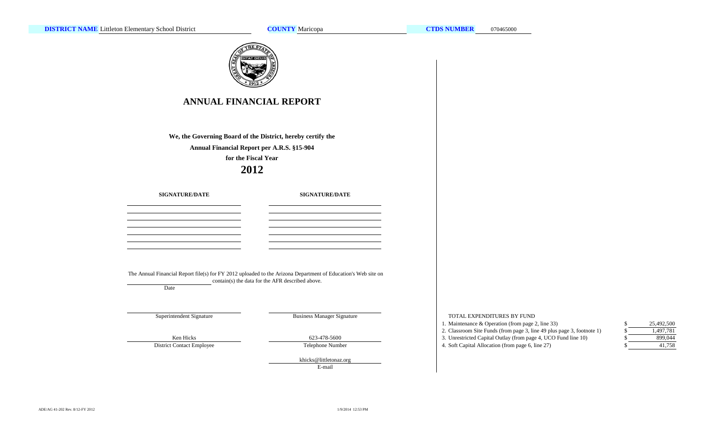**COUNTY**



E-mail

TOTAL EXPENDITURES BY FUND

- 1. Maintenance & Operation (from page 2, line 33) \$
- 2. Classroom Site Funds (from page 3, line 49 plus page 3, footnote 1)
- 3. Unrestricted Capital Outlay (from page 4, UCO Fund line 10) \$
- 

| \$<br>25,492,500 |
|------------------|
| \$<br>1,497,781  |
| \$<br>899.044    |
| \$<br>41,758     |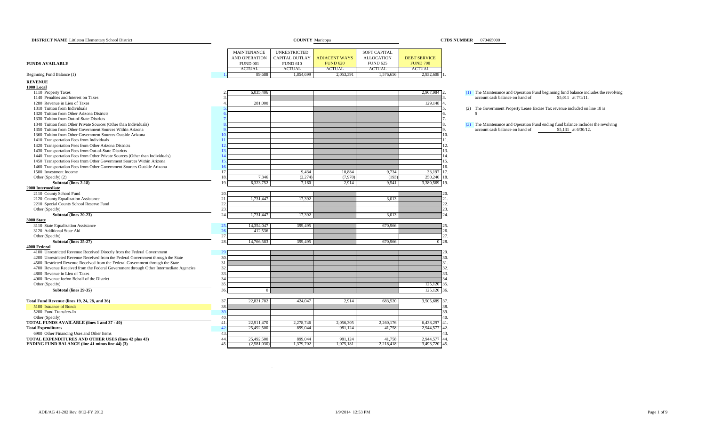| <b>DISTRICT NAME</b> Littleton Elementary School District                                                    |                                 | <b>COUNTY Maricopa</b> |                      | <b>CTDS NUMBER</b> 070465000 |                     |                                                                             |
|--------------------------------------------------------------------------------------------------------------|---------------------------------|------------------------|----------------------|------------------------------|---------------------|-----------------------------------------------------------------------------|
|                                                                                                              |                                 |                        |                      |                              |                     |                                                                             |
|                                                                                                              | MAINTENANCE                     | <b>UNRESTRICTED</b>    |                      | SOFT CAPITAL                 |                     |                                                                             |
|                                                                                                              | <b>AND OPERATION</b>            | <b>CAPITAL OUTLAY</b>  | <b>ADJACENT WAYS</b> | <b>ALLOCATION</b>            | <b>DEBT SERVICE</b> |                                                                             |
| <b>FUNDS AVAILABLE</b>                                                                                       | <b>FUND 001</b>                 | <b>FUND 610</b>        | <b>FUND 620</b>      | <b>FUND 625</b>              | <b>FUND 700</b>     |                                                                             |
|                                                                                                              | <b>ACTUAL</b>                   | <b>ACTUAL</b>          | <b>ACTUAL</b>        | <b>ACTUAL</b>                | <b>ACTUAL</b>       |                                                                             |
| Beginning Fund Balance (1)                                                                                   | 89,688                          | 1,854,699              | 2,053,391            | 1,576,656                    | 2,932,608           |                                                                             |
| <b>REVENUE</b>                                                                                               |                                 |                        |                      |                              |                     |                                                                             |
| 1000 Local                                                                                                   |                                 |                        |                      |                              |                     |                                                                             |
| 1110 Property Taxes                                                                                          | 6,035,406                       |                        |                      |                              | 2,967,984 2         | (1) The Maintenance and Operation Fund beginning fund balance includes the  |
| 1140 Penalties and Interest on Taxes                                                                         |                                 |                        |                      |                              |                     | account cash balance on hand of<br>\$5,011 at 7/1/11.                       |
| 1280 Revenue in Lieu of Taxes                                                                                | 281,000                         |                        |                      |                              | 129,148             |                                                                             |
| 1310 Tuition from Individuals                                                                                |                                 |                        |                      |                              |                     | (2) The Government Property Lease Excise Tax revenue included on line 18 is |
| 1320 Tuition from Other Arizona Districts                                                                    |                                 |                        |                      |                              |                     | -S                                                                          |
| 1330 Tuition from Out-of-State Districts<br>1340 Tuition from Other Private Sources (Other than Individuals) |                                 |                        |                      |                              |                     | (3) The Maintenance and Operation Fund ending fund balance includes the rev |
| 1350 Tuition from Other Government Sources Within Arizona                                                    |                                 |                        |                      |                              |                     | account cash balance on hand of<br>\$5,131 at 6/30/12.                      |
| 1360 Tuition from Other Government Sources Outside Arizona                                                   |                                 |                        |                      |                              |                     | 10.                                                                         |
| 1410 Transportation Fees from Individuals                                                                    |                                 |                        |                      |                              |                     | 11.                                                                         |
| 1420 Transportation Fees from Other Arizona Districts                                                        | $\overline{1}$                  |                        |                      |                              |                     | 12.                                                                         |
| 1430 Transportation Fees from Out-of-State Districts                                                         |                                 |                        |                      |                              |                     | 13.                                                                         |
| 1440 Transportation Fees from Other Private Sources (Other than Individuals)                                 |                                 |                        |                      |                              |                     | 14.                                                                         |
| 1450 Transportation Fees from Other Government Sources Within Arizona                                        |                                 |                        |                      |                              |                     | 15.                                                                         |
| 1460 Transportation Fees from Other Government Sources Outside Arizona                                       |                                 |                        |                      |                              |                     | 16.                                                                         |
| 1500 Investment Income                                                                                       | 17                              | 9,434                  | 10,884               | 9,734                        | 33,197 17.          |                                                                             |
| Other (Specify) (2)                                                                                          | 7,346<br>18                     | (2,274)                | (7,970)              | (193)                        | 250,240 18.         |                                                                             |
| Subtotal (lines 2-18)                                                                                        | 6,323,752<br>1 <sup>C</sup>     | 7,160                  | 2,914                | 9,541                        | 3,380,569 19.       |                                                                             |
| 2000 Intermediate                                                                                            |                                 |                        |                      |                              |                     |                                                                             |
| 2110 County School Fund                                                                                      | 20.                             |                        |                      |                              |                     |                                                                             |
| 2120 County Equalization Assistance                                                                          | 21<br>1,731,447                 | 17,392                 |                      | 3,013                        |                     | 21.                                                                         |
| 2210 Special County School Reserve Fund                                                                      | 22.                             |                        |                      |                              |                     | 22                                                                          |
| Other (Specify)                                                                                              | 23.                             |                        |                      |                              |                     | 23.                                                                         |
| Subtotal (lines 20-23)                                                                                       | 24<br>1,731,447                 | 17,392                 |                      | 3,013                        |                     | 24.                                                                         |
| 3000 State                                                                                                   |                                 |                        |                      |                              |                     |                                                                             |
| 3110 State Equalization Assistance                                                                           | 14,354,047<br>$\mathbf{2}$      | 399,495                |                      | 670,966                      |                     |                                                                             |
| 3120 Additional State Aid                                                                                    | 26<br>412,536                   |                        |                      |                              |                     | 26.                                                                         |
| Other (Specify)                                                                                              | 27.                             |                        |                      |                              |                     | 27.                                                                         |
| Subtotal (lines 25-27)                                                                                       | 28.<br>14,766,583               | 399,495                |                      | 670,966                      |                     | $0 - 28.$                                                                   |
| 4000 Federal                                                                                                 |                                 |                        |                      |                              |                     |                                                                             |
| 4100 Unrestricted Revenue Received Directly from the Federal Government                                      | $\overline{2}$                  |                        |                      |                              |                     |                                                                             |
| 4200 Unrestricted Revenue Received from the Federal Government through the State                             | 30.                             |                        |                      |                              |                     | 30.                                                                         |
| 4500 Restricted Revenue Received from the Federal Government through the State                               | 31<br>32                        |                        |                      |                              |                     | 31.<br>32.                                                                  |
| 4700 Revenue Received from the Federal Government through Other Intermediate Agencies                        |                                 |                        |                      |                              |                     | 33.                                                                         |
| 4800 Revenue in Lieu of Taxes                                                                                | 33<br>34                        |                        |                      |                              |                     | 34                                                                          |
| 4900 Revenue for/on Behalf of the District<br>Other (Specify)                                                | 35.                             |                        |                      |                              | 125,120 35.         |                                                                             |
| Subtotal (lines 29-35)                                                                                       | 36<br>$\overline{0}$            |                        |                      |                              |                     |                                                                             |
|                                                                                                              |                                 |                        |                      |                              | 125,120 36.         |                                                                             |
| Total Fund Revenue (lines 19, 24, 28, and 36)                                                                | 22,821,782<br>37                | 424,047                | 2,914                | 683,520                      | 3,505,689 37.       |                                                                             |
| 5100 Issuance of Bonds                                                                                       | 38                              |                        |                      |                              |                     | 38.                                                                         |
| 5200 Fund Transfers-In                                                                                       | $\mathbf{3}$                    |                        |                      |                              |                     | 39.                                                                         |
| Other (Specify)                                                                                              | 40                              |                        |                      |                              |                     | 40.                                                                         |
| <b>TOTAL FUNDS AVAILABLE (lines 1 and 37 - 40)</b>                                                           | 22,911,470<br>41                | 2,278,746              | 2,056,305            | 2,260,176                    | 6,438,297           | 141.                                                                        |
| <b>Total Expenditures</b>                                                                                    | 25,492,500<br>$\Delta^{\prime}$ | 899,044                | 981,124              | 41,758                       | 2,944,577 42.       |                                                                             |
| 6900 Other Financing Uses and Other Items                                                                    | 43                              |                        |                      |                              |                     | 43.                                                                         |
| TOTAL EXPENDITURES AND OTHER USES (lines 42 plus 43)                                                         | 44<br>25,492,500                | 899,044                | 981,124              | 41,758                       | 2,944,577 44.       |                                                                             |
| <b>ENDING FUND BALANCE (line 41 minus line 44) (3)</b>                                                       | (2,581,030)<br>45.              | 1,379,702              | 1,075,181            | 2,218,418                    | 3,493,720 45.       |                                                                             |
|                                                                                                              |                                 |                        |                      |                              |                     |                                                                             |

.

ning fund balance includes the revolving  $$5,011$  at  $7/1/11$ .

g fund balance includes the revolving  $$5,131$  at 6/30/12.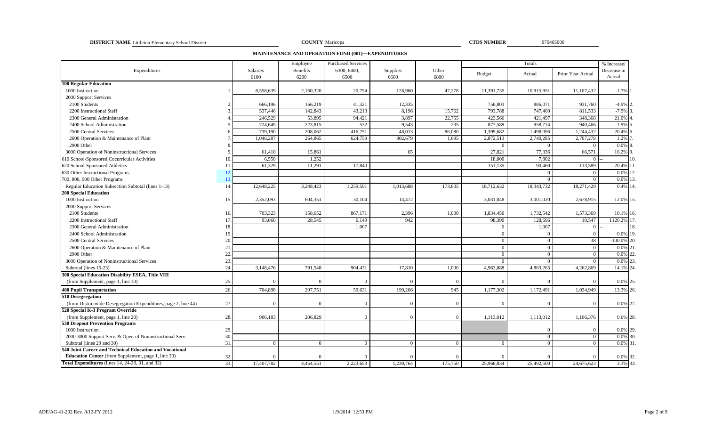**DISTRICT NAME** Littleton Elementary School District **COUNTY COUNTY** Maricopa **COUNTY COUNTY OF COUNTY COUNTY COUNTY COUNTY COUNTY COUNTY COUNTY COUNTY COUNTY COUNTY COUNTY COUNTY COUNTY COUNTY** 

COUNTY Maricopa

**MAINTENANCE AND OPERATION FUND (001)—EXPENDITURES**

|                                                                 |     |                         | Employee         | <b>Purchased Services</b> |                  |               |                | Totals         |                   | % Increase/           |     |
|-----------------------------------------------------------------|-----|-------------------------|------------------|---------------------------|------------------|---------------|----------------|----------------|-------------------|-----------------------|-----|
| Expenditures                                                    |     | <b>Salaries</b><br>6100 | Benefits<br>6200 | 6300, 6400,<br>6500       | Supplies<br>6600 | Other<br>6800 | <b>Budget</b>  | Actual         | Prior Year Actual | Decrease in<br>Actual |     |
| <b>100 Regular Education</b>                                    |     |                         |                  |                           |                  |               |                |                |                   |                       |     |
| 1000 Instruction                                                |     | 8,558,639               | 2,160,320        | 20,754                    | 128,960          | 47,278        | 11,391,735     | 10,915,951     | 11,107,432        | $-1.7%$               |     |
| 2000 Support Services                                           |     |                         |                  |                           |                  |               |                |                |                   |                       |     |
| 2100 Students                                                   |     | 666,196                 | 166,219          | 41,321                    | 12,335           |               | 756,803        | 886,071        | 931,760           | $-4.9%$ <sub>2</sub>  |     |
| 2200 Instructional Staff                                        |     | 537,446                 | 142,843          | 43,213                    | 8,196            | 15,762        | 793,788        | 747,460        | 811,533           | $-7.9%$               |     |
| 2300 General Administration                                     |     | 246,529                 | 53,895           | 94,421                    | 3,897            | 22,755        | 423,566        | 421,497        | 348,368           | 21.0%                 |     |
| 2400 School Administration                                      |     | 724,649                 | 223,815          | 532                       | 9,543            | 235           | 877,589        | 958,774        | 940,466           | 1.9%                  |     |
| 2500 Central Services                                           |     | 739,190                 | 208,062          | 416,751                   | 48,013           | 86,080        | 1,399,682      | 1,498,096      | 1,244,432         | 20.4%                 |     |
| 2600 Operation & Maintenance of Plant                           |     | 1,046,287               | 264,865          | 624,759                   | 802,679          | 1,695         | 2,872,513      | 2,740,285      | 2,707,278         | 1.2%                  |     |
| 2900 Other                                                      |     |                         |                  |                           |                  |               | $\overline{0}$ | $\bf{0}$       | $\bf{0}$          | $0.0\%$ 8             |     |
| 3000 Operation of Noninstructional Services                     |     | 61,410                  | 15,861           |                           | 65               |               | 27,821         | 77,336         | 66,571            | 16.2% 9               |     |
| 610 School-Sponsored Cocurricular Activities                    | 10. | 6.550                   | 1,252            |                           |                  |               | 18,000         | 7,802          | $\overline{0}$    |                       | 10. |
| 620 School-Sponsored Athletics                                  | 11. | 61,329                  | 11,291           | 17,840                    |                  |               | 151,135        | 90,460         | 113,589           | $-20.4\%$ 11          |     |
| 630 Other Instructional Programs                                | 12  |                         |                  |                           |                  |               |                | $\Omega$       | $\Omega$          | 0.0%                  |     |
| 700, 800, 900 Other Programs                                    | 13  |                         |                  |                           |                  |               |                | $\Omega$       | $\overline{0}$    | 0.0%                  |     |
| Regular Education Subsection Subtotal (lines 1-13)              | 14  | 12,648,225              | 3,248,423        | 1,259,591                 | 1,013,688        | 173,805       | 18,712,632     | 18,343,732     | 18,271,429        | 0.4% 14               |     |
| <b>200 Special Education</b>                                    |     |                         |                  |                           |                  |               |                |                |                   |                       |     |
| 1000 Instruction                                                | 15. | 2,352,093               | 604,351          | 30,104                    | 14,472           |               | 3,031,048      | 3,001,020      | 2,678,915         | 12.0% 15              |     |
| 2000 Support Services                                           |     |                         |                  |                           |                  |               |                |                |                   |                       |     |
| 2100 Students                                                   | 16. | 703,323                 | 158,652          | 867,171                   | 2,396            | 1,000         | 1,834,450      | 1,732,542      | 1,573,369         | 10.1% 16.             |     |
| 2200 Instructional Staff                                        | 17  | 93,060                  | 28,545           | 6,149                     | 942              |               | 98,390         | 128,696        | 10,547            | 1120.2% 17            |     |
| 2300 General Administration                                     | 18. |                         |                  | 1.007                     |                  |               | $\theta$       | 1,007          | $\overline{0}$    |                       | 18. |
| 2400 School Administration                                      | 19  |                         |                  |                           |                  |               | $\Omega$       | $\overline{0}$ | $\overline{0}$    | 0.0% 19.              |     |
| 2500 Central Services                                           | 20  |                         |                  |                           |                  |               | $\theta$       | $\theta$       | 38                | $-100.0\%$            |     |
| 2600 Operation & Maintenance of Plant                           | 21  |                         |                  |                           |                  |               | $\overline{0}$ | $\overline{0}$ | $\overline{0}$    | $0.0\%$ <sub>2</sub>  |     |
| 2900 Other                                                      | 22. |                         |                  |                           |                  |               | $\theta$       | $\overline{0}$ | $\overline{0}$    | 0.0%                  |     |
| 3000 Operation of Noninstructional Services                     | 23. |                         |                  |                           |                  |               | $\overline{0}$ | $\Omega$       | $\overline{0}$    | 0.0%                  |     |
| Subtotal (lines 15-23)                                          | 24. | 3,148,476               | 791,548          | 904,431                   | 17,810           | 1,000         | 4,963,888      | 4,863,265      | 4,262,869         | 14.1% 24              |     |
| 300 Special Education Disability ESEA, Title VIII               |     |                         |                  |                           |                  |               |                |                |                   |                       |     |
| (from Supplement, page 1, line 10)                              | 25. |                         | $\sqrt{ }$       |                           | $\Omega$         | $\Omega$      | $\Omega$       | $\Omega$       | $\Omega$          | 0.0% 25               |     |
| <b>400 Pupil Transportation</b>                                 | 26. | 704,898                 | 207,751          | 59,631                    | 199,266          | 945           | 1,177,302      | 1,172,491      | 1,034,949         | 13.3% 26.             |     |
| 510 Desegregation                                               |     |                         |                  |                           |                  |               |                |                |                   |                       |     |
| (from Districtwide Desegregation Expenditures, page 2, line 44) | 27. |                         | $\Omega$         |                           | $\Omega$         | $\Omega$      | $\Omega$       | $\Omega$       | $\Omega$          | 0.0% 27.              |     |
| 520 Special K-3 Program Override                                |     |                         |                  |                           |                  |               |                |                |                   |                       |     |
| (from Supplement, page 1, line 20)                              | 28. | 906,183                 | 206,829          | $\sqrt{ }$                | $\Omega$         | $\Omega$      | 1,113,012      | 1,113,012      | 1,106,376         | 0.6% 28.              |     |
| <b>530 Dropout Prevention Programs</b>                          |     |                         |                  |                           |                  |               |                |                |                   |                       |     |
| 1000 Instruction                                                | 29. |                         |                  |                           |                  |               |                | $\Omega$       |                   | 0.0% 29.              |     |
| 2000-3000 Support Serv. & Oper. of Noninstructional Serv.       | 30  |                         |                  |                           |                  |               |                | $\overline{0}$ | $\overline{0}$    | 0.0% 30.              |     |
| Subtotal (lines 29 and 30)                                      | 31  |                         | $\Omega$         |                           | $\Omega$         | $\Omega$      | $\overline{0}$ | $\overline{0}$ | $\Omega$          | $0.0\%$ 31            |     |
| 540 Joint Career and Technical Education and Vocational         |     |                         |                  |                           |                  |               |                |                |                   |                       |     |
| Education Center (from Supplement, page 1, line 30)             | 32. |                         | $\Omega$         |                           | $\Omega$         | $\Omega$      | $\Omega$       | $\Omega$       | $\Omega$          | 0.0% 32               |     |
| Total Expenditures (lines 14, 24-28, 31, and 32)                | 33. | 17,407,782              | 4,454,551        | 2,223,653                 | 1,230,764        | 175,750       | 25,966,834     | 25,492,500     | 24,675,623        | 3.3% 33.              |     |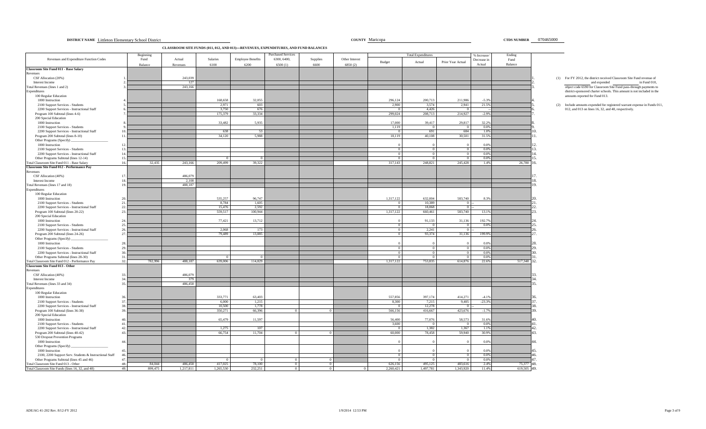| DISTRICT NAME Littleton Elementary School District | <b>COUNTY Maricopa</b> | <b>CTDS NUMBER</b> |
|----------------------------------------------------|------------------------|--------------------|
|                                                    |                        |                    |

**CLASSROOM SITE FUNDS (011, 012, AND 013)—REVENUES, EXPENDITURES, AND FUND BALANCES**

|                                                                                      | Beginning                |                      |                      |                          | <b>Purchased Services</b> |                |                |                      | <b>Total Expenditures</b> |                           | % Increase       | Ending                |    |                                                                          |
|--------------------------------------------------------------------------------------|--------------------------|----------------------|----------------------|--------------------------|---------------------------|----------------|----------------|----------------------|---------------------------|---------------------------|------------------|-----------------------|----|--------------------------------------------------------------------------|
| Revenues and Expenditure Function Codes                                              | Fund                     | Actual               | Salaries             | <b>Employee Benefits</b> | 6300, 6400,               | Supplies       | Other Interest | Budget               | Actual                    | Prior Year Actual         | Decrease in      | Fund                  |    |                                                                          |
|                                                                                      | Balance                  | Revenues             | 6100                 | 6200                     | 6500(1)                   | 6600           | 6850(2)        |                      |                           |                           | Actual           | Balance               |    |                                                                          |
| <b>Classroom Site Fund 011 - Base Salary</b><br>Revenues                             |                          |                      |                      |                          |                           |                |                |                      |                           |                           |                  |                       |    |                                                                          |
| CSF Allocation (20%)                                                                 |                          | 243,039              |                      |                          |                           |                |                |                      |                           |                           |                  |                       |    | (1) For FY 2012, the district received Classroom Site Fund revenue of    |
| Interest Income                                                                      |                          | 127                  |                      |                          |                           |                |                |                      |                           |                           |                  |                       |    | and expended<br>in Fund 010,                                             |
| Total Revenues (lines 1 and 2)                                                       |                          | 243,166              |                      |                          |                           |                |                |                      |                           |                           |                  |                       |    | object code 6590 for Classroom Site Fund pass-through payments to        |
| Expenditures                                                                         |                          |                      |                      |                          |                           |                |                |                      |                           |                           |                  |                       |    | district-sponsored charter schools. This amount is not included in the   |
| 100 Regular Education                                                                |                          |                      |                      |                          |                           |                |                |                      |                           |                           |                  |                       |    | amounts reported for Fund 013.                                           |
| 1000 Instruction                                                                     |                          |                      | 168,658<br>2,971     | 32,055<br>603            |                           |                |                | 296,124<br>2,900     | 200,713<br>3,574          | 211,986<br>2,941          | $-5.3%$<br>21.5% |                       |    | (2) Include amounts expended for registered warrant expense in Funds 011 |
| 2100 Support Services - Students<br>2200 Support Services - Instructional Staff      |                          |                      | 3.750                | 676                      |                           |                |                |                      | 4.426                     | $^{\circ}$                |                  |                       |    | 012, and 013 on lines 16, 32, and 48, respectively.                      |
| Program 100 Subtotal (lines 4-6)                                                     |                          |                      | 175,379              | 33,334                   |                           |                |                | 299,024              | 208,713                   | 214,927                   | $-2.9%$          |                       |    |                                                                          |
| 200 Special Education                                                                |                          |                      |                      |                          |                           |                |                |                      |                           |                           |                  |                       |    |                                                                          |
| 1000 Instruction                                                                     |                          |                      | 33,482               | 5.935                    |                           |                |                | 17,000               | 39,417                    | 29,817                    | 32.2%            |                       |    |                                                                          |
| 2100 Support Services - Students                                                     |                          |                      |                      |                          |                           |                |                | 1,119                | $\overline{0}$            | $\overline{0}$            | 0.0%             |                       |    |                                                                          |
| 2200 Support Services - Instructional Staff                                          | 10                       |                      | 638                  | - 53                     |                           |                |                |                      | 691                       | 684                       | 1.0%             |                       |    |                                                                          |
| Program 200 Subtotal (lines 8-10)                                                    | 11                       |                      | 34,120               | 5,988                    |                           |                |                | 18,119               | 40,108                    | 30,501                    | 31.5%            |                       |    |                                                                          |
| Other Programs (Specify)                                                             |                          |                      |                      |                          |                           |                |                |                      |                           |                           |                  |                       |    |                                                                          |
| 1000 Instruction                                                                     | $\overline{12}$          |                      |                      |                          |                           |                |                |                      |                           |                           | 0.0%             |                       |    |                                                                          |
| 2100 Support Services - Students                                                     | 13<br>14                 |                      |                      |                          |                           |                |                | $\Omega$             | $^{\circ}$                | $\Omega$<br>$\Omega$      | 0.0%<br>0.0%     |                       |    |                                                                          |
| 2200 Support Services - Instructional Staff<br>Other Programs Subtotal (lines 12-14) | 15.                      |                      |                      |                          |                           |                |                | $\Omega$<br>$\Omega$ | $\Omega$<br>$\Omega$      | $\overline{0}$            | 0.0%             |                       |    |                                                                          |
| Total Classroom Site Fund 011 - Base Salary                                          | 16.<br>32,435            | 243,166              | 209,499              | 39,322                   |                           |                |                | 317,143              | 248,821                   | 245,428                   | 1.4%             | 26,780                |    |                                                                          |
| <b>Classroom Site Fund 012 - Performance Pay</b>                                     |                          |                      |                      |                          |                           |                |                |                      |                           |                           |                  |                       |    |                                                                          |
| Revenues                                                                             |                          |                      |                      |                          |                           |                |                |                      |                           |                           |                  |                       |    |                                                                          |
| CSF Allocation (40%)                                                                 | -17                      | 486,079              |                      |                          |                           |                |                |                      |                           |                           |                  |                       |    |                                                                          |
| Interest Income                                                                      |                          | 2,108                |                      |                          |                           |                |                |                      |                           |                           |                  |                       |    |                                                                          |
| Total Revenues (lines 17 and 18)                                                     | 19                       | 488,187              |                      |                          |                           |                |                |                      |                           |                           |                  |                       |    |                                                                          |
| Expenditures                                                                         |                          |                      |                      |                          |                           |                |                |                      |                           |                           |                  |                       |    |                                                                          |
| 100 Regular Education                                                                |                          |                      |                      |                          |                           |                |                |                      |                           |                           |                  |                       |    |                                                                          |
| 1000 Instruction                                                                     | 20                       |                      | 535,257              | 96,747                   |                           |                |                | 1,317,122            | 632,004                   | 583,740                   | 8.3%             |                       |    |                                                                          |
| 2100 Support Services - Students                                                     | 21.<br>22.               |                      | 8,784                | 1,605                    |                           |                |                |                      | 10,389                    | $\overline{0}$            |                  |                       |    |                                                                          |
| 2200 Support Services - Instructional Staff<br>Program 100 Subtotal (lines 20-22)    | 23.                      |                      | 15,476<br>559,517    | 2,592<br>100,944         |                           |                |                | 1,317,122            | 18,068<br>660,461         | $\overline{0}$<br>583,740 | 13.1%            |                       |    |                                                                          |
| 200 Special Education                                                                |                          |                      |                      |                          |                           |                |                |                      |                           |                           |                  |                       |    |                                                                          |
| 1000 Instruction                                                                     | 24.                      |                      | 77,421               | 13,712                   |                           |                |                |                      | 91,133                    | 31,136                    | 192.7%           |                       |    |                                                                          |
| 2100 Support Services - Students                                                     | 25.                      |                      |                      |                          |                           |                |                | $^{\circ}$           | $\Omega$                  | $\overline{0}$            | 0.0%             |                       |    |                                                                          |
| 2200 Support Services - Instructional Staff                                          | 26.                      |                      | 2.068                | 173                      |                           |                |                | $\Omega$             | 2.241                     | $\overline{0}$            |                  |                       |    |                                                                          |
| Program 200 Subtotal (lines 24-26)                                                   | 27.                      |                      | 79,489               | 13,885                   |                           |                |                |                      | 93,374                    | 31,136                    | 199.9%           |                       |    |                                                                          |
| Other Programs (Specify)                                                             |                          |                      |                      |                          |                           |                |                |                      |                           |                           |                  |                       |    |                                                                          |
| 1000 Instruction                                                                     | 28                       |                      |                      |                          |                           |                |                |                      |                           |                           | 0.0%             |                       |    |                                                                          |
| 2100 Support Services - Students                                                     | 29.                      |                      |                      |                          |                           |                |                |                      | $\Omega$                  | $\overline{0}$            | 0.0%             |                       |    |                                                                          |
| 2200 Support Services - Instructional Staff                                          | 30                       |                      |                      |                          |                           |                |                |                      | $\Omega$                  | $\Omega$                  | 0.0%             |                       |    |                                                                          |
| Other Programs Subtotal (lines 28-30)                                                | 31<br>32.<br>782.996     | 488.187              | 639,006              | 114,829                  |                           |                |                |                      | 753,835                   | $\Omega$<br>614,876       | 0.0%<br>22.6%    | 517,348               |    |                                                                          |
| Total Classroom Site Fund 012 - Performance Pay<br>Classroom Site Fund 013 - Other   |                          |                      |                      |                          |                           |                |                | 1.317.122            |                           |                           |                  |                       |    |                                                                          |
| Revenues                                                                             |                          |                      |                      |                          |                           |                |                |                      |                           |                           |                  |                       |    |                                                                          |
| CSF Allocation (40%)                                                                 | 33                       | 486,079              |                      |                          |                           |                |                |                      |                           |                           |                  |                       |    |                                                                          |
| Interest Income                                                                      | 34                       | 379                  |                      |                          |                           |                |                |                      |                           |                           |                  |                       |    |                                                                          |
| Total Revenues (lines 33 and 34)                                                     | 35                       | 486,458              |                      |                          |                           |                |                |                      |                           |                           |                  |                       |    |                                                                          |
| Expenditures                                                                         |                          |                      |                      |                          |                           |                |                |                      |                           |                           |                  |                       |    |                                                                          |
| 100 Regular Education                                                                |                          |                      |                      |                          |                           |                |                |                      |                           |                           |                  |                       |    |                                                                          |
| 1000 Instruction                                                                     |                          |                      | 333,771              | 63,403                   |                           |                |                | 557,856              | 397,174                   | 414,271                   | $-4.1%$          |                       |    |                                                                          |
| 2100 Support Services - Students                                                     | 37.                      |                      | 6,000                | 1,215                    |                           |                |                | 8,300                | 7,215                     | 9,405                     | $-23.3%$         |                       |    |                                                                          |
| 2200 Support Services - Instructional Staff                                          | 38<br>39                 |                      | 10,500               | 1,778                    |                           |                |                |                      | 12,278                    | $\Omega$                  |                  |                       |    |                                                                          |
| Program 100 Subtotal (lines 36-38)<br>200 Special Education                          |                          |                      | 350,271              | 66,396                   |                           |                |                | 566,156              | 416,667                   | 423,676                   | $-1.7%$          |                       |    |                                                                          |
| 1000 Instruction                                                                     |                          |                      | 65,479               | 11,597                   |                           |                |                | 56,400               | 77,076                    | 58,573                    | 31.6%            |                       |    |                                                                          |
| 2100 Support Services - Students                                                     | 41                       |                      |                      |                          |                           |                |                | 3.600                | $\Omega$                  | $\sqrt{0}$                | 0.0%             |                       |    |                                                                          |
| 2200 Support Services - Instructional Staff                                          | 42                       |                      | 1,275                | 107                      |                           |                |                |                      | 1,382                     | 1,367                     | 1.1%             |                       |    |                                                                          |
| Program 200 Subtotal (lines 40-42)                                                   | 43                       |                      | 66,754               | 11,704                   |                           |                |                | 60,000               | 78,458                    | 59,940                    | 30.9%            |                       |    |                                                                          |
| 530 Dropout Prevention Programs                                                      |                          |                      |                      |                          |                           |                |                |                      |                           |                           |                  |                       |    |                                                                          |
| 1000 Instruction                                                                     | 44                       |                      |                      |                          |                           |                |                |                      |                           |                           | 0.0%             |                       |    |                                                                          |
| Other Programs (Specify)                                                             |                          |                      |                      |                          |                           |                |                |                      |                           |                           |                  |                       |    |                                                                          |
| 1000 Instruction                                                                     | 45                       |                      |                      |                          |                           |                |                |                      |                           |                           | 0.0%             |                       |    |                                                                          |
| 2100, 2200 Support Serv. Students & Instructional Staff                              | $\Delta\ell$             |                      |                      |                          |                           |                |                | $\Omega$             | $\Omega$                  | $\overline{0}$            | 0.0%             |                       |    |                                                                          |
| Other Programs Subtotal (lines 45 and 46)<br>Total Classroom Site Fund 013 - Other   | 47.<br>48                |                      |                      |                          | $\Omega$                  | $\Omega$       |                |                      |                           | $\Omega$                  | 0.0%             |                       | 48 |                                                                          |
| Total Classroom Site Funds (lines 16, 32, and 48)                                    | 84,044<br>49.<br>899,475 | 486,458<br>1.217.811 | 417,025<br>1.265.530 | 78,100<br>232.251        | $\overline{0}$            | $\overline{0}$ | $\Omega$       | 626,156<br>2.260.421 | 495,125<br>1.497.781      | 483,616<br>1.343.920      | 2.4%<br>11.4%    | 75,377<br>619.505 49. |    |                                                                          |
|                                                                                      |                          |                      |                      |                          |                           |                |                |                      |                           |                           |                  |                       |    |                                                                          |

COUNTY Maricopa CTDS NUMBER 070465000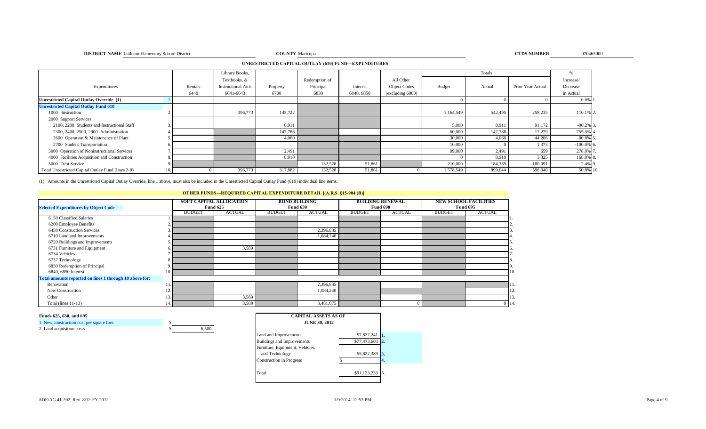**COUNTY Maricopa COUNTY Maricopa COUNTY Maricopa COUNTY Maricopa COUNTY Maricopa CTDS NUMBER** 

**COUNTY** Maricopa **070465000 CTDS NUMBER** 070465000

**UNRESTRICTED CAPITAL OUTLAY (610) FUND—EXPENDITURES**

|                                                    |         | Library Books,            |          |               |            |                     |           | Totals  |                   | Yo.          |
|----------------------------------------------------|---------|---------------------------|----------|---------------|------------|---------------------|-----------|---------|-------------------|--------------|
|                                                    |         | Textbooks, &              |          | Redemption of |            | All Other           |           |         |                   | Increase/    |
| Expenditures                                       | Rentals | <b>Instructional Aids</b> | Property | Principal     | Interest   | <b>Object Codes</b> | Budget    | Actual  | Prior Year Actual | Decrease     |
|                                                    | 6440    | 6641-6643                 | 6700     | 6830          | 6840, 6850 | (excluding 6900)    |           |         |                   | in Actual    |
| <b>Unrestricted Capital Outlay Override (1)</b>    |         |                           |          |               |            |                     |           |         |                   | $0.0\%$ 1.   |
| <b>Unrestricted Capital Outlay Fund 610</b>        |         |                           |          |               |            |                     |           |         |                   |              |
| 1000 Instruction                                   |         | 396,773                   | 145,722  |               |            |                     | 1,164,549 | 542,495 | 258,235           | 110.1% 2.    |
| 2000 Support Services                              |         |                           |          |               |            |                     |           |         |                   |              |
| 2100, 2200 Students and Instructional Staff        |         |                           | 8,911    |               |            |                     | 5,000     | 8,911   | 91,172            | $-90.2\%$ 3  |
| 2300, 2400, 2500, 2900 Administration              |         |                           | 147,788  |               |            |                     | 60,000    | 147,788 | 17,279            | 755.3% 4     |
| 2600 Operation & Maintenance of Plant              |         |                           | 4,060    |               |            |                     | 30,000    | 4,060   | 44,206            | $-90.8\%$ 5  |
| 2700 Student Transportation                        |         |                           |          |               |            |                     | 10,000    |         | 1,373             | $-100.0\%$ 6 |
| 3000 Operation of Noninstructional Services        |         |                           | 2,491    |               |            |                     | 99,000    | 2,491   | 659               | 278.0% 7     |
| 4000 Facilities Acquisition and Construction       |         |                           | 8,910    |               |            |                     |           | 8,910   | 3,325             | 168.0% 8     |
| 5000 Debt Service                                  |         |                           |          | 132,528       | 51,861     |                     | 210,000   | 184,389 | 180,091           | 2.4% 9.      |
| Total Unrestricted Capital Outlay Fund (lines 2-9) |         | 396,773                   | 317,882  | 132,528       | 51,861     |                     | 1,578,549 | 899,044 | 596,340           | 50.8% 10.    |

(1) Amounts in the Unrestricted Capital Outlay Override, line 1 above, must also be included in the Unrestricted Capital Outlay Fund (610) individual line items.

## **OTHER FUNDS—REQUIRED CAPITAL EXPENDITURE DETAIL [(A.R.S. §15-904.(B)]**

| <b>Selected Expenditures by Object Code</b>             |     |               | <b>SOFT CAPITAL ALLOCATION</b><br><b>Fund 625</b> |               | <b>BOND BUILDING</b><br><b>Fund 630</b> | <b>BUILDING RENEWAL</b> | <b>Fund 690</b> |               | <b>NEW SCHOOL FACILITIES</b><br><b>Fund 695</b> |           |
|---------------------------------------------------------|-----|---------------|---------------------------------------------------|---------------|-----------------------------------------|-------------------------|-----------------|---------------|-------------------------------------------------|-----------|
|                                                         |     | <b>BUDGET</b> | <b>ACTUAL</b>                                     | <b>BUDGET</b> | <b>ACTUAL</b>                           | <b>BUDGET</b>           | <b>ACTUAL</b>   | <b>BUDGET</b> | <b>ACTUAL</b>                                   |           |
| 6150 Classified Salaries                                |     |               |                                                   |               |                                         |                         |                 |               |                                                 |           |
| 6200 Employee Benefits                                  |     |               |                                                   |               |                                         |                         |                 |               |                                                 |           |
| 6450 Construction Services                              |     |               |                                                   |               | 2,396,835                               |                         |                 |               |                                                 |           |
| 6710 Land and Improvements                              |     |               |                                                   |               | 1,084,240                               |                         |                 |               |                                                 |           |
| 6720 Buildings and Improvements                         |     |               |                                                   |               |                                         |                         |                 |               |                                                 |           |
| 6731 Furniture and Equipment                            |     |               | 3,589                                             |               |                                         |                         |                 |               |                                                 |           |
| 6734 Vehicles                                           |     |               |                                                   |               |                                         |                         |                 |               |                                                 |           |
| 6737 Technology                                         |     |               |                                                   |               |                                         |                         |                 |               |                                                 |           |
| 6830 Redemption of Principal                            |     |               |                                                   |               |                                         |                         |                 |               |                                                 |           |
| 6840, 6850 Interest                                     |     |               |                                                   |               |                                         |                         |                 |               |                                                 | 110.      |
| Total amounts reported on lines 1 through 10 above for: |     |               |                                                   |               |                                         |                         |                 |               |                                                 |           |
| Renovation                                              |     |               |                                                   |               | 2,396,835                               |                         |                 |               |                                                 |           |
| New Construction                                        | IZ. |               |                                                   |               | 1,084,240                               |                         |                 |               |                                                 | 1/2       |
| Other                                                   |     |               | 3,589                                             |               |                                         |                         |                 |               |                                                 | 13.       |
| Total (lines $11-13$ )                                  | 14  |               | 3,589                                             |               | 3,481,075                               |                         |                 |               |                                                 | $0 \; 14$ |

### **Funds 625, 630, and 695**

1. New construction cost per square foot \$



| <b>CAPITAL ASSETS AS OF</b>       |              |                |
|-----------------------------------|--------------|----------------|
| <b>JUNE 30, 2012</b>              |              |                |
| Land and Improvements             | \$7,827,241  |                |
| <b>Buildings and Improvements</b> | \$77,473,603 | $\overline{2}$ |
| Furniture, Equipment, Vehicles,   |              |                |
| and Technology                    | \$5,822,389  |                |
| <b>Construction in Progress</b>   |              | 4.             |
| Total                             | \$91,123,233 |                |
|                                   |              |                |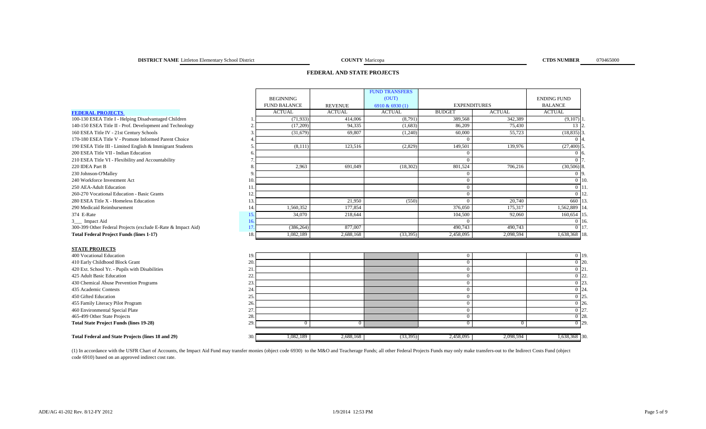# **FEDERAL AND STATE PROJECTS**

|                                                              |                     |                | <b>FUND TRANSFERS</b> |                |                     |                    |
|--------------------------------------------------------------|---------------------|----------------|-----------------------|----------------|---------------------|--------------------|
|                                                              | <b>BEGINNING</b>    |                | (OUT)                 |                |                     | <b>ENDING FUND</b> |
|                                                              | <b>FUND BALANCE</b> | <b>REVENUE</b> | 6910 & 6930 (1)       |                | <b>EXPENDITURES</b> | <b>BALANCE</b>     |
| <b>FEDERAL PROJECTS</b>                                      | <b>ACTUAL</b>       | <b>ACTUAL</b>  | <b>ACTUAL</b>         | <b>BUDGET</b>  | <b>ACTUAL</b>       | <b>ACTUAL</b>      |
| 100-130 ESEA Title I - Helping Disadvantaged Children        | (71, 933)           | 414,006        | (8,791)               | 389,568        | 342,389             | (9,107)            |
| 140-150 ESEA Title II - Prof. Development and Technology     | (17,209)            | 94.335         | (1,683)               | 86,209         | 75.430              | 13 <sup>1</sup>    |
| 160 ESEA Title IV - 21st Century Schools                     | (31,679)            | 69,807         | (1,240)               | 60,000         | 55,723              | $(18, 835)$ 3      |
| 170-180 ESEA Title V - Promote Informed Parent Choice        |                     |                |                       | $\Omega$       |                     |                    |
| 190 ESEA Title III - Limited English & Immigrant Students    | (8,111)             | 123,516        | (2,829)               | 149,501        | 139,976             | $(27,400)$ 5       |
| 200 ESEA Title VII - Indian Education                        |                     |                |                       | $\Omega$       |                     | 0.6                |
| 210 ESEA Title VI - Flexibility and Accountability           |                     |                |                       | $\mathbf{0}$   |                     | 0.17               |
| 220 IDEA Part B                                              | 2,963               | 691,049        | (18, 302)             | 801,524        | 706,216             | $(30,506)$ 8       |
| 230 Johnson-O'Malley                                         |                     |                |                       | $\Omega$       |                     | 0 <sup>19</sup>    |
| 240 Workforce Investment Act                                 | 10.                 |                |                       | $\mathbf{0}$   |                     | $0$   10           |
| 250 AEA-Adult Education                                      | 11.                 |                |                       | $\mathbf{0}$   |                     | $0 \; 11$          |
| 260-270 Vocational Education - Basic Grants                  | 12.                 |                |                       | $\theta$       |                     | $0 \mid 12$        |
| 280 ESEA Title X - Homeless Education                        | 13.                 | 21.950         | (550)                 | $\Omega$       | 20,740              | 660 13             |
| 290 Medicaid Reimbursement                                   | 1,560,352<br>14.    | 177,854        |                       | 376,050        | 175,317             | 1,562,889          |
| 374 E-Rate                                                   | 15.<br>34,070       | 218,644        |                       | 104.500        | 92,060              | 160,654 15         |
| 3_ Impact Aid                                                | 16.                 |                |                       | $\Omega$       |                     | $0 \; 16$          |
| 300-399 Other Federal Projects (exclude E-Rate & Impact Aid) | 17.<br>(386, 264)   | 877,007        |                       | 490,743        | 490,743             | 0117               |
| <b>Total Federal Project Funds (lines 1-17)</b>              | 18.<br>1,082,189    | 2,688,168      | (33,395)              | 2,458,095      | 2,098,594           | 1,638,368 18.      |
|                                                              |                     |                |                       |                |                     |                    |
| <b>STATE PROJECTS</b>                                        |                     |                |                       |                |                     |                    |
| 400 Vocational Education                                     | 19.                 |                |                       | $\overline{0}$ |                     | $0 \vert 19.$      |
| 410 Early Childhood Block Grant                              | 20.                 |                |                       | $\theta$       |                     | $\overline{0}$ 20. |
| 420 Ext. School Yr. - Pupils with Disabilities               | 21                  |                |                       | $\theta$       |                     | $\overline{0}$ 21  |
| 425 Adult Basic Education                                    | 22.                 |                |                       | $\mathbf{0}$   |                     | $\overline{0}$ 22  |
| 430 Chemical Abuse Prevention Programs                       | 23.                 |                |                       | $\mathbf{0}$   |                     | 0 23               |
| 435 Academic Contests                                        | 24.                 |                |                       | $\theta$       |                     | $0\overline{24}$   |
| 450 Gifted Education                                         | 25.                 |                |                       | $\mathbf{0}$   |                     | 0 25               |
| 455 Family Literacy Pilot Program                            | 26.                 |                |                       | $\theta$       |                     | $0\,126$           |
| 460 Environmental Special Plate                              | 27.                 |                |                       | $\mathbf{0}$   |                     | 0 27               |
| 465-499 Other State Projects                                 | 28.                 |                |                       | $\mathbf{0}$   |                     | $\overline{0}$ 28. |
| <b>Total State Project Funds (lines 19-28)</b>               | 29.<br>$\Omega$     | $\overline{0}$ |                       | $\overline{0}$ | $\overline{0}$      | $0^{\circ}$ 29.    |
|                                                              |                     |                |                       |                |                     |                    |
| Total Federal and State Projects (lines 18 and 29)           | 1,082,189<br>30.1   | 2,688,168      | (33,395)              | 2,458,095      | 2,098,594           | 1,638,368 30.      |

(1) In accordance with the USFR Chart of Accounts, the Impact Aid Fund may transfer monies (object code 6930) to the M&O and Teacherage Funds; all other Federal Projects Funds may only make transfers-out to the Indirect Co code 6910) based on an approved indirect cost rate.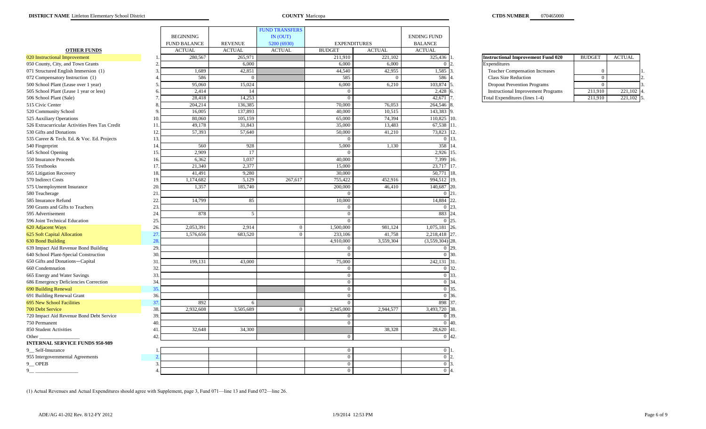|                                                |                       |                     |                | <b>FUND TRANSFERS</b> |                                |               |                    |                                           |               |
|------------------------------------------------|-----------------------|---------------------|----------------|-----------------------|--------------------------------|---------------|--------------------|-------------------------------------------|---------------|
|                                                |                       | <b>BEGINNING</b>    |                | IN (OUT)              |                                |               | <b>ENDING FUND</b> |                                           |               |
|                                                |                       | <b>FUND BALANCE</b> | <b>REVENUE</b> | 5200 (6930)           | <b>EXPENDITURES</b>            |               | <b>BALANCE</b>     |                                           |               |
| <b>OTHER FUNDS</b>                             |                       | <b>ACTUAL</b>       | <b>ACTUAL</b>  | <b>ACTUAL</b>         | <b>BUDGET</b>                  | <b>ACTUAL</b> | <b>ACTUAL</b>      |                                           |               |
| 020 Instructional Improvement                  |                       | 280,567             | 265,971        |                       | 211,910                        | 221,102       | 325,436            | <b>Instructional Improvement Fund 020</b> | <b>BUDGET</b> |
| 050 County, City, and Town Grants              |                       |                     | 6,000          |                       | 6,000                          | 6,000         |                    | Expenditures                              |               |
| 071 Structured English Immersion (1)           |                       | 1,689               | 42,851         |                       | 44,540                         | 42,955        | 1,585              | <b>Teacher Compensation Increases</b>     |               |
| 072 Compensatory Instruction (1)               |                       | 586                 | $\Omega$       |                       | 585                            |               | 586                | <b>Class Size Reduction</b>               | $\Omega$      |
| 500 School Plant (Lease over 1 year)           |                       | 95,060              | 15,024         |                       | 6,000                          | 6,210         | 103,874            |                                           | $\Omega$      |
|                                                |                       |                     |                |                       |                                |               |                    | <b>Dropout Prevention Programs</b>        |               |
| 505 School Plant (Lease 1 year or less)        |                       | 2,414               | 14             |                       | $\mathbf{0}$<br>$\overline{0}$ |               | 2,428              | <b>Instructional Improvement Programs</b> | 211,910       |
| 506 School Plant (Sale)                        |                       | 28,418              | 14,253         |                       |                                |               | 42,671             | Total Expenditures (lines 1-4)            | 211,910       |
| 515 Civic Center                               |                       | 204,214             | 136,385        |                       | 70,000                         | 76,053        | 264,546            |                                           |               |
| 520 Community School                           |                       | 16,005              | 137,893        |                       | 40,000                         | 10,515        | 143,383            |                                           |               |
| 525 Auxiliary Operations                       |                       | 80,060              | 105,159        |                       | 65,000                         | 74,394        | 110,825            |                                           |               |
| 526 Extracurricular Activities Fees Tax Credit | $\mathbf{1}$          | 49,178              | 31,843         |                       | 35,000                         | 13,483        | 67,538             |                                           |               |
| 530 Gifts and Donations                        | 12                    | 57,393              | 57,640         |                       | 50,000                         | 41,210        | 73,823             |                                           |               |
| 535 Career & Tech. Ed. & Voc. Ed. Projects     | $\overline{1}$        |                     |                |                       | $\mathbf{0}$                   |               | 0 13               |                                           |               |
| 540 Fingerprint                                | 14                    | 560                 | 928            |                       | 5,000                          | 1,130         | 358                |                                           |               |
| 545 School Opening                             | 1 <sup>4</sup>        | 2,909               | 17             |                       | $\Omega$                       |               | 2,926              |                                           |               |
| 550 Insurance Proceeds                         | 1 <sup>1</sup>        | 6,362               | 1,037          |                       | 40,000                         |               | 7,399              |                                           |               |
| 555 Textbooks                                  | $\mathbf{1}^{\prime}$ | 21,340              | 2,377          |                       | 15,000                         |               | 23,717             |                                           |               |
| 565 Litigation Recovery                        | $\mathbf{1}$          | 41,491              | 9,280          |                       | 30,000                         |               | 50,771             |                                           |               |
| 570 Indirect Costs                             | 1 <sup>6</sup>        | 1,174,682           | 5,129          | 267,617               | 755,422                        | 452,916       | 994,512            |                                           |               |
| 575 Unemployment Insurance                     | 20                    | 1,357               | 185,740        |                       | 200,000                        | 46,410        | 140,687            |                                           |               |
| 580 Teacherage                                 | 2 <sup>1</sup>        |                     |                |                       | $\Omega$                       |               | $\Omega$           |                                           |               |
| 585 Insurance Refund                           | 22                    | 14,799              | 85             |                       | 10,000                         |               | 14,884             |                                           |               |
| 590 Grants and Gifts to Teachers               | 23                    |                     |                |                       | $\overline{0}$                 |               | $\bf{0}$           |                                           |               |
| 595 Advertisement                              | 24                    | 878                 | 5              |                       | $\overline{0}$                 |               | 883                |                                           |               |
| 596 Joint Technical Education                  | 25                    |                     |                |                       | $\Omega$                       |               | $\bf{0}$           |                                           |               |
| 620 Adjacent Ways                              | 26                    | 2,053,391           | 2,914          | $\overline{0}$        | 1,500,000                      | 981,124       | 1,075,181          |                                           |               |
| 625 Soft Capital Allocation                    | 27                    | 1,576,656           | 683,520        | $\Omega$              | 233,106                        | 41,758        | 2,218,418 27       |                                           |               |
| 630 Bond Building                              | 28                    |                     |                |                       | 4,910,000                      | 3,559,304     | $(3,559,304)$ 28   |                                           |               |
| 639 Impact Aid Revenue Bond Building           | 29                    |                     |                |                       | $\Omega$                       |               |                    |                                           |               |
| 640 School Plant-Special Construction          | 30                    |                     |                |                       | $\overline{0}$                 |               |                    |                                           |               |
| 650 Gifts and Donations-Capital                | 3 <sup>2</sup>        | 199,131             | 43,000         |                       | 75,000                         |               | 242,131            | 31                                        |               |
| 660 Condemnation                               | 32                    |                     |                |                       | $\Omega$                       |               | $\Omega$           |                                           |               |
| 665 Energy and Water Savings                   | 33                    |                     |                |                       | $\overline{0}$                 |               | $\overline{0}$     |                                           |               |
| 686 Emergency Deficiencies Correction          | 34                    |                     |                |                       | $\overline{0}$                 |               | 0 34               |                                           |               |
| 690 Building Renewal                           | 35                    |                     |                |                       | $\overline{0}$                 |               | $\overline{0}$     | 35                                        |               |
| 691 Building Renewal Grant                     | 36                    |                     |                |                       | $\overline{0}$                 |               | $\bf{0}$           |                                           |               |
| 695 New School Facilities                      | 3 <sup>2</sup>        | 892                 | 6              |                       | $\overline{0}$                 |               | 898                |                                           |               |
| 700 Debt Service                               | 38                    | 2,932,608           | 3,505,689      | $\Omega$              | 2,945,000                      | 2,944,577     | 3,493,720          |                                           |               |
| 720 Impact Aid Revenue Bond Debt Service       | 39                    |                     |                |                       | $\overline{0}$                 |               | 0 39               |                                           |               |
| 750 Permanent                                  | 40                    |                     |                |                       | $\overline{0}$                 |               | $\overline{0}$     | 40                                        |               |
| 850 Student Activities                         | $\overline{4}$        | 32,648              | 34,300         |                       |                                | 38,328        | 28,620 41          |                                           |               |
| Other_                                         | $\Lambda'$            |                     |                |                       | $\mathbf{0}$                   |               | $0\vert 42$        |                                           |               |
| <b>INTERNAL SERVICE FUNDS 950-989</b>          |                       |                     |                |                       |                                |               |                    |                                           |               |
| 9_Self-Insurance                               |                       |                     |                |                       | $\overline{0}$                 |               | $\overline{0}$     |                                           |               |
| 955 Intergovernmental Agreements               |                       |                     |                |                       | $\overline{0}$                 |               | $\overline{0}$     |                                           |               |
| 9 OPEB                                         |                       |                     |                |                       | $\overline{0}$                 |               | $\overline{0}$     |                                           |               |
| 9                                              |                       |                     |                |                       | $\overline{0}$                 |               | 0 <sup>14</sup>    |                                           |               |
|                                                |                       |                     |                |                       |                                |               |                    |                                           |               |

| <b>Instructional Improvement Fund 020</b> | <b>BUDGET</b> | <b>ACTUAL</b> |  |
|-------------------------------------------|---------------|---------------|--|
| Expenditures                              |               |               |  |
| <b>Teacher Compensation Increases</b>     |               |               |  |
| <b>Class Size Reduction</b>               |               |               |  |
| <b>Dropout Prevention Programs</b>        |               |               |  |
| <b>Instructional Improvement Programs</b> | 211,910       | 221,102       |  |
| Total Expenditures (lines 1-4)            | 211.910       | 221,102       |  |

(1) Actual Revenues and Actual Expenditures should agree with Supplement, page 3, Fund 071—line 13 and Fund 072—line 26.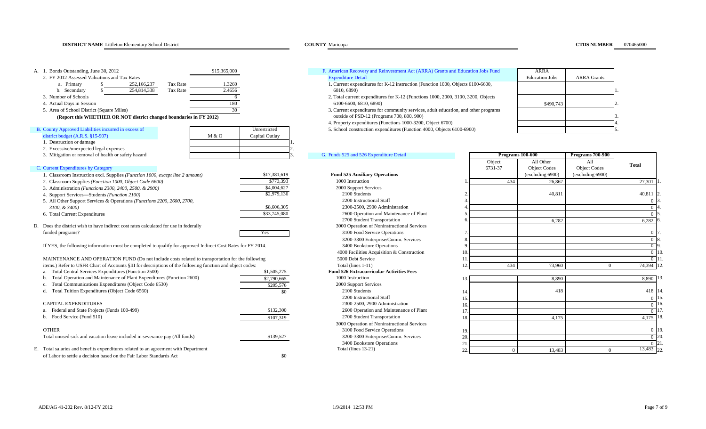| A. 1. Bonds Outstanding, June 30, 2012                                                                       | \$15,365,000            | F. American Recovery and Reinvestment Act (ARRA) Grants and Education Jobs Fund                              |                  | <b>ARRA</b>           |                     |              |
|--------------------------------------------------------------------------------------------------------------|-------------------------|--------------------------------------------------------------------------------------------------------------|------------------|-----------------------|---------------------|--------------|
| 2. FY 2012 Assessed Valuations and Tax Rates<br>252,166,237<br><b>Tax Rate</b><br>a. Primary<br>-S           | 1.3260                  | <b>Expenditure Detail</b><br>1. Current expenditures for K-12 instruction (Function 1000, Objects 6100-6600, |                  | <b>Education Jobs</b> | <b>ARRA</b> Grants  |              |
| 254,814,338<br>Tax Rate<br>b. Secondary                                                                      | 2.4656                  | 6810, 6890)                                                                                                  |                  |                       |                     |              |
| 3. Number of Schools                                                                                         | -6                      | 2. Total current expenditures for K-12 (Functions 1000, 2000, 3100, 3200, Objects                            |                  |                       |                     |              |
| 4. Actual Days in Session                                                                                    | 180                     | 6100-6600, 6810, 6890)                                                                                       |                  | \$490,743             |                     |              |
| 5. Area of School District (Square Miles)                                                                    | 30                      | 3. Current expenditures for community services, adult education, and other programs                          |                  |                       |                     |              |
| (Report this WHETHER OR NOT district changed boundaries in FY 2012)                                          |                         | outside of PSD-12 (Programs 700, 800, 900)                                                                   |                  |                       |                     |              |
|                                                                                                              |                         | 4. Property expenditures (Functions 1000-3200, Object 6700)                                                  |                  |                       |                     |              |
| B. County Approved Liabilities incurred in excess of                                                         | Unrestricted            | 5. School construction expenditures (Function 4000, Objects 6100-6900)                                       |                  |                       |                     |              |
| district budget $(A.R.S. §15-907)$                                                                           | Capital Outlay<br>M & O |                                                                                                              |                  |                       |                     |              |
| 1. Destruction or damage                                                                                     |                         |                                                                                                              |                  |                       |                     |              |
| 2. Excessive/unexpected legal expenses                                                                       |                         |                                                                                                              |                  |                       |                     |              |
| 3. Mitigation or removal of health or safety hazard                                                          |                         | G. Funds 525 and 526 Expenditure Detail                                                                      | Programs 100-600 |                       | Programs 700-900    |              |
|                                                                                                              |                         |                                                                                                              | Object           | All Other             | All                 | <b>Total</b> |
| C. Current Expenditures by Category                                                                          |                         |                                                                                                              | 6731-37          | <b>Object Codes</b>   | <b>Object Codes</b> |              |
| 1. Classroom Instruction excl. Supplies (Function 1000, except line 2 amount)                                | \$17,381,619            | <b>Fund 525 Auxiliary Operations</b>                                                                         |                  | (excluding 6900)      | (excluding 6900)    |              |
| 2. Classroom Supplies (Function 1000, Object Code 6600)                                                      | \$773,393               | 1000 Instruction                                                                                             | 434              | 26,867                |                     | 27,301       |
| 3. Administration (Functions 2300, 2400, 2500, & 2900)                                                       | \$4,004,627             | 2000 Support Services                                                                                        |                  |                       |                     |              |
| 4. Support Services-Students (Function 2100)                                                                 | \$2,979,136             | 2100 Students                                                                                                |                  | 40,811                |                     | 40,811       |
| 5. All Other Support Services & Operations (Functions 2200, 2600, 2700,                                      |                         | 2200 Instructional Staff                                                                                     |                  |                       |                     | $\Omega$     |
| $3100, \& 3400$                                                                                              | \$8,606,305             | 2300-2500, 2900 Administration                                                                               |                  |                       |                     |              |
| 6. Total Current Expenditures                                                                                | \$33,745,080            | 2600 Operation and Maintenance of Plant                                                                      |                  |                       |                     |              |
|                                                                                                              |                         | 2700 Student Transportation                                                                                  |                  | 6,282                 |                     | 6,282        |
| D. Does the district wish to have indirect cost rates calculated for use in federally                        |                         | 3000 Operation of Noninstructional Services                                                                  |                  |                       |                     |              |
| funded programs?                                                                                             | Yes                     | 3100 Food Service Operations                                                                                 |                  |                       |                     | $\Omega$     |
|                                                                                                              |                         | 3200-3300 Enterprise/Comm. Services                                                                          |                  |                       |                     |              |
| If YES, the following information must be completed to qualify for approved Indirect Cost Rates for FY 2014. |                         | 3400 Bookstore Operations                                                                                    |                  |                       |                     |              |
|                                                                                                              |                         | 4000 Facilities Acquisition & Construction                                                                   |                  |                       |                     | $\Omega$     |
| MAINTENANCE AND OPERATION FUND (Do not include costs related to transportation for the following             |                         | 5000 Debt Service                                                                                            |                  |                       |                     | $\Omega$     |
| items.) Refer to USFR Chart of Accounts §III for descriptions of the following function and object codes:    |                         | Total (lines 1-11)                                                                                           | 434              | 73,960                | $\Omega$            | 74,394       |
| Total Central Services Expenditures (Function 2500)<br>a.                                                    | \$1,505,275             | <b>Fund 526 Extracurricular Activities Fees</b>                                                              |                  |                       |                     |              |
| Total Operation and Maintenance of Plant Expenditures (Function 2600)                                        | \$2,790,665             | 1000 Instruction                                                                                             |                  | 8,890                 |                     | 8,890        |
| Total Communications Expenditures (Object Code 6530)                                                         | \$205,576               | 2000 Support Services                                                                                        |                  |                       |                     |              |
| Total Tuition Expenditures (Object Code 6560)                                                                | \$0                     | 2100 Students                                                                                                |                  | 418                   |                     | 418          |
|                                                                                                              |                         | 2200 Instructional Staff                                                                                     |                  |                       |                     | $\Omega$     |
| <b>CAPITAL EXPENDITURES</b>                                                                                  |                         | 2300-2500, 2900 Administration                                                                               |                  |                       |                     | $\Omega$     |
| Federal and State Projects (Funds 100-499)<br>a.                                                             | \$132,300               | 2600 Operation and Maintenance of Plant                                                                      |                  |                       |                     | $\Omega$     |
| b. Food Service (Fund 510)                                                                                   | \$107,319               | 2700 Student Transportation                                                                                  |                  | 4,175                 |                     | 4,175        |
|                                                                                                              |                         | 3000 Operation of Noninstructional Services                                                                  |                  |                       |                     |              |

| Total unused sick and vacation leave included in severance pay (All funds)       | \$139,527 | 3200-3300 Enterprise/Comm. Services |  |        |             | <b>120</b> |
|----------------------------------------------------------------------------------|-----------|-------------------------------------|--|--------|-------------|------------|
|                                                                                  |           | 3400 Bookstore Operations           |  |        |             |            |
| Total salaries and benefits expenditures related to an agreement with Department |           | Fotal (lines 13-21)                 |  | 13,483 | $3,483$ 22. |            |
| of Labor to settle a decision based on the Fair Labor Standards Act              |           |                                     |  |        |             |            |

# 1. Current expenditures for K-12 instruction (Function 1000, Objects 6100-6600, Expenditure Detail

- 2. Total current expenditures for K-12 (Functions 1000, 2000, 3100, 3200, Objects
- 3. Current expenditures for community services, adult education, and other programs **outside of PSD-12 (Programs 700, 800, 900)**
- 4. Property expenditures (Functions 1000-3200, Object 6700) 4.
- 

| ANNA                  |                    |   |
|-----------------------|--------------------|---|
| <b>Education Jobs</b> | <b>ARRA</b> Grants |   |
|                       |                    |   |
|                       |                    |   |
|                       |                    |   |
| \$490,743             |                    | 2 |
|                       |                    |   |
|                       |                    | 3 |
|                       |                    | 4 |
|                       |                    | 5 |

### G. Funds 525 and 526 Expenditure Detail

# Fund 526 Extracurricular Activities Fees<br>1000 Instruction 2000 Support Services<br>2100 Students 2200 Instructional Staff<br>2300-2500, 2900 Administration 2600 Operation and Maintenance of Plant<br> 2700 Student Transportation

# 3000 Operation of Noninstructional Services \$139,527 3200-3300 Enterprise/Comm. Services 3400 Bookstore Operations<br>Total (lines 13-21)

|     | Programs 100-600  |                                  | <b>Programs 700-900</b>    |                                |
|-----|-------------------|----------------------------------|----------------------------|--------------------------------|
|     | Object<br>6731-37 | All Other<br><b>Object Codes</b> | All<br><b>Object Codes</b> | <b>Total</b>                   |
|     |                   | (excluding 6900)                 | (excluding 6900)           |                                |
| 1.  | 434               | 26,867                           |                            | 27,301                         |
| 2.  |                   | 40,811                           |                            | 40,811                         |
|     |                   |                                  |                            | $\mathbf{0}$                   |
| 4.  |                   |                                  |                            | $\mathbf{0}$<br>$\theta$       |
|     |                   | 6,282                            |                            | 6,282                          |
| 7.  |                   |                                  |                            | $\mathbf{0}$                   |
|     |                   |                                  |                            | $\mathbf{0}$                   |
|     |                   |                                  |                            | $\mathbf{0}$<br>$\overline{0}$ |
| 11. |                   |                                  |                            | $\mathbf{0}$                   |
| 12. | 434               | 73,960                           | $\Omega$                   | 74,394                         |

| Total Operation and Maintenance of Plant Expenditures (Function 2600)            | \$2,790,665 | 1000 Instruction                            |  | 8,890  | 8.890 13.  |       |
|----------------------------------------------------------------------------------|-------------|---------------------------------------------|--|--------|------------|-------|
| Total Communications Expenditures (Object Code 6530)                             | \$205,576   | 2000 Support Services                       |  |        |            |       |
| Total Tuition Expenditures (Object Code 6560)                                    |             | 2100 Students                               |  | 418    | 418 14.    |       |
|                                                                                  |             | 2200 Instructional Staff                    |  |        | -9 H.S.    |       |
| CAPITAL EXPENDITURES                                                             |             | 2300-2500, 2900 Administration              |  |        |            |       |
| Federal and State Projects (Funds 100-499)                                       | \$132,300   | 2600 Operation and Maintenance of Plant     |  |        |            |       |
| Food Service (Fund 510)                                                          | \$107,319   | 2700 Student Transportation                 |  | 4.175  | 4.175 18.  |       |
|                                                                                  |             | 3000 Operation of Noninstructional Services |  |        |            |       |
| <b>OTHER</b>                                                                     |             | 3100 Food Service Operations                |  |        |            | 0 19. |
| Total unused sick and vacation leave included in severance pay (All funds)       | \$139,527   | 3200-3300 Enterprise/Comm. Services         |  |        |            |       |
|                                                                                  |             | 3400 Bookstore Operations                   |  |        |            |       |
| Total salaries and benefits expenditures related to an agreement with Department |             | Total (lines $13-21$ )                      |  | 13.483 | 13,483 22. |       |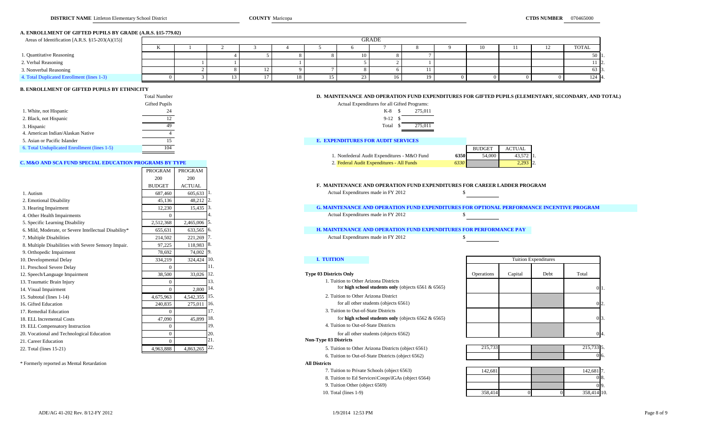### **A. ENROLLMENT OF GIFTED PUPILS BY GRADE (A.R.S. §15-779.02)**

| Areas of Identification [A.R.S. $§15-203(A)(15)]$ |              |  |  |  | GRADE |  |    |  |          |
|---------------------------------------------------|--------------|--|--|--|-------|--|----|--|----------|
|                                                   | $\mathbf{r}$ |  |  |  |       |  | 10 |  | TOTAL    |
| 1. Quantitative Reasoning                         |              |  |  |  |       |  |    |  | 50 1     |
| 2. Verbal Reasoning                               |              |  |  |  |       |  |    |  | 11 12.   |
| 3. Nonverbal Reasoning                            |              |  |  |  |       |  |    |  | 63 I.    |
| 4. Total Duplicated Enrollment (lines 1-3)        |              |  |  |  |       |  |    |  | $124$ 4. |

### **B. ENROLLMENT OF GIFTED PUPILS BY ETHNICITY**

|                                              | Total Number  | D. MAINTENANCE AND OPERATION FUND EXI        |
|----------------------------------------------|---------------|----------------------------------------------|
|                                              | Gifted Pupils | Actual Expenditures for all Gifted Programs: |
| 1. White, not Hispanic                       | 24            | 275,011<br>K-8                               |
| 2. Black, not Hispanic                       |               | $9-12$                                       |
| 3. Hispanic                                  | 49            | 275,011<br>Total                             |
| 4. American Indian/Alaskan Native            |               |                                              |
| 5. Asian or Pacific Islander                 |               | <b>E. EXPENDITURES FOR AUDIT SERVICES</b>    |
| 6. Total Unduplicated Enrollment (lines 1-5) | 104           |                                              |

### **C. M&O AND SCA FUND SPECIAL EDUCATION PROGRAMS BY TYPE**

|                                                       | PROGRAM       | PROGRAM       |            |                                                                                                  |                   |         |                             |           |
|-------------------------------------------------------|---------------|---------------|------------|--------------------------------------------------------------------------------------------------|-------------------|---------|-----------------------------|-----------|
|                                                       | 200           | 200           |            |                                                                                                  |                   |         |                             |           |
|                                                       | <b>BUDGET</b> | <b>ACTUAL</b> |            | <b>F. MAINTENANCE AND OPERATION FUND EXPENDITURES FOR CAREER LADDER PROGRAM</b>                  |                   |         |                             |           |
| 1. Autism                                             | 687,460       | 605,633       |            | Actual Expenditures made in FY 2012                                                              |                   |         |                             |           |
| 2. Emotional Disability                               | 45,136        | 48,212        |            |                                                                                                  |                   |         |                             |           |
| 3. Hearing Impairment                                 | 12,230        | 15,435        |            | <b>G. MAINTENANCE AND OPERATION FUND EXPENDITURES FOR OPTIONAL PERFORMANCE INCENTIVE PROGRAM</b> |                   |         |                             |           |
| 4. Other Health Impairments                           |               |               |            | Actual Expenditures made in FY 2012                                                              |                   |         |                             |           |
| 5. Specific Learning Disability                       | 2,512,368     | 2,465,006     |            |                                                                                                  |                   |         |                             |           |
| 6. Mild, Moderate, or Severe Intellectual Disability* | 655,631       | 633,565       | 16.        | <b>H. MAINTENANCE AND OPERATION FUND EXPENDITURES FOR PERFORMANCE PAY</b>                        |                   |         |                             |           |
| 7. Multiple Disabilities                              | 214,502       | 221,269       |            | Actual Expenditures made in FY 2012                                                              |                   |         |                             |           |
| 8. Multiple Disabilities with Severe Sensory Impair.  | 97.225        | 118,983       |            |                                                                                                  |                   |         |                             |           |
| 9. Orthopedic Impairment                              | 78.692        | 74,002        |            |                                                                                                  |                   |         |                             |           |
| 10. Developmental Delay                               | 334,219       | 324,424       | <b>10.</b> | <b>I. TUITION</b>                                                                                |                   |         | <b>Tuition Expenditures</b> |           |
| 11. Preschool Severe Delay                            |               |               |            |                                                                                                  |                   |         |                             |           |
| 12. Speech/Language Impairment                        | 38,500        | 33,026        | 112.       | <b>Type 03 Districts Only</b>                                                                    | <b>Operations</b> | Capital | Debt                        | Total     |
| 13. Traumatic Brain Injury                            |               |               |            | 1. Tuition to Other Arizona Districts                                                            |                   |         |                             |           |
| 14. Visual Impairment                                 |               | 2.800         | 114.       | for high school students only (objects $6561 & 6565$ )                                           |                   |         |                             |           |
| 15. Subtotal (lines 1-14)                             | 4,675,963     | 4.542.355 15. |            | 2. Tuition to Other Arizona District                                                             |                   |         |                             |           |
| 16. Gifted Education                                  | 240,835       | 275.011       | 16.        | for all other students (objects 6561)                                                            |                   |         |                             |           |
| 17. Remedial Education                                |               |               |            | 3. Tuition to Out-of-State Districts                                                             |                   |         |                             |           |
| 18. ELL Incremental Costs                             | 47,090        | 45.899        | 18.        | for high school students only (objects $6562 \& 6565$ )                                          |                   |         |                             | ΩĿ        |
| 19. ELL Compensatory Instruction                      |               |               | 19.        | 4. Tuition to Out-of-State Districts                                                             |                   |         |                             |           |
| 20. Vocational and Technological Education            |               |               |            | for all other students (objects 6562)                                                            |                   |         |                             |           |
| 21. Career Education                                  |               |               |            | <b>Non-Type 03 Districts</b>                                                                     |                   |         |                             |           |
| 22. Total (lines 15-21)                               | 4.963.888     | 4,863,265     | 22.        | 5. Tuition to Other Arizona Districts (object 6561)                                              | 215,733           |         |                             | 215,733 5 |
|                                                       |               |               |            |                                                                                                  |                   |         |                             |           |

\* Formerly reported as Mental Retardation **All Districts**

| <b>Total Number</b> | D. MAINTENANCE AND OPERATION FUND EXPENDITURES FOR GIFTED PUPILS (ELEMENTARY, SECONDARY, AND TOTAL) |
|---------------------|-----------------------------------------------------------------------------------------------------|
|---------------------|-----------------------------------------------------------------------------------------------------|

| Gifted Pupils |           | Actual Expenditures for all Gifted Programs: |  |  |  |
|---------------|-----------|----------------------------------------------|--|--|--|
| 24            | $K-8$ $S$ | 275.011                                      |  |  |  |
|               | $9-12S$   |                                              |  |  |  |
| 49            | Total     | 275.011                                      |  |  |  |

### **E. EXPENDITURES FOR AUDIT SERVICES**

| 6. Total Unduplicated Enrollment (lines 1-5)           |                                                      | <b>BUDGE</b> | ACTUAL     |  |
|--------------------------------------------------------|------------------------------------------------------|--------------|------------|--|
|                                                        | 6350  <br>. Nonfederal Audit Expenditures - M&O Fund | 54.000       | 43,572 1.  |  |
| C. M&O AND SCA FUND SPECIAL EDUCATION PROGRAMS BY TYPE | 6330<br>2. Federal Audit Expenditures - All Funds    |              | $2,293$ 2. |  |

# 1. Actual Expenditures made in FY 2012

### **H. MAINTENANCE AND OPERATION FUND EXPENDITURES FOR PERFORMANCE PAY**

## Non-Type 03 Districts

5. Tuition to Other Arizona Districts (object 6561) 6. Tuition to Out-of-State Districts (object 6562)

7. Tuition to Private Schools (object 6563)

8. Tuition to Ed Services\Coops\IGAs (object 6564)

9. Tuition Other (object 6569)

10. Total (lines 1-9)

| <b>Tuition Expenditures</b> |         |      |         |  |  |  |  |  |  |  |
|-----------------------------|---------|------|---------|--|--|--|--|--|--|--|
| Operations                  | Capital | Debt | Total   |  |  |  |  |  |  |  |
|                             |         |      | 0<br>ı. |  |  |  |  |  |  |  |
|                             |         |      | 0<br>2. |  |  |  |  |  |  |  |
|                             |         |      | 3.<br>0 |  |  |  |  |  |  |  |
|                             |         |      | 4.      |  |  |  |  |  |  |  |

| 215.722<br>۵1 ت |  | 2157226 |
|-----------------|--|---------|
|                 |  |         |

|     | 142,681 7. |    | 142,681 |
|-----|------------|----|---------|
| ΟВ. |            |    |         |
| 19. |            |    |         |
|     | 358,414 10 | J۰ | 358,414 |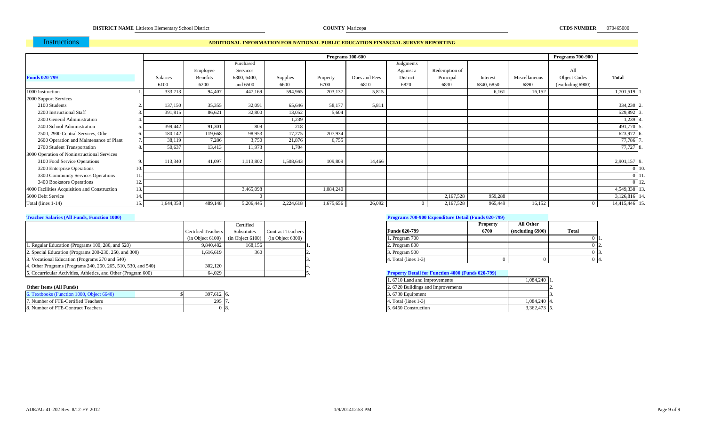# Instructions

### **ADDITIONAL INFORMATION FOR NATIONAL PUBLIC EDUCATION FINANCIAL SURVEY REPORTING**

|                                              |                 |           |                 |             |                 |           | <b>Programs 100-600</b> |                |               |            |               | <b>Programs 700-900</b> |                |
|----------------------------------------------|-----------------|-----------|-----------------|-------------|-----------------|-----------|-------------------------|----------------|---------------|------------|---------------|-------------------------|----------------|
|                                              |                 |           |                 | Purchased   |                 |           |                         | Judgments      |               |            |               |                         |                |
|                                              |                 |           | Employee        | Services    |                 |           |                         | Against a      | Redemption of |            |               | All                     |                |
| <b>Funds 020-799</b>                         | <b>Salaries</b> |           | <b>Benefits</b> | 6300, 6400, | <b>Supplies</b> | Property  | Dues and Fees           | District       | Principal     | Interest   | Miscellaneous | <b>Object Codes</b>     | <b>Total</b>   |
|                                              | 6100            |           | 6200            | and 6500    | 6600            | 6700      | 6810                    | 6820           | 6830          | 6840, 6850 | 6890          | (excluding 6900)        |                |
| 1000 Instruction                             |                 | 333,713   | 94,407          | 447,169     | 594,965         | 203,137   | 5,815                   |                |               | 6.161      | 16,152        |                         | 1,701,519 1    |
| 2000 Support Services                        |                 |           |                 |             |                 |           |                         |                |               |            |               |                         |                |
| 2100 Students                                |                 | 137,150   | 35,355          | 32,091      | 65,646          | 58,177    | 5,811                   |                |               |            |               |                         | 334,230 2      |
| 2200 Instructional Staff                     |                 | 391,815   | 86,621          | 32,800      | 13,052          | 5,604     |                         |                |               |            |               |                         | 529,892        |
| 2300 General Administration                  |                 |           |                 |             | 1,239           |           |                         |                |               |            |               |                         | $1,239$ 4      |
| 2400 School Administration                   |                 | 399,442   | 91,301          | 809         | 218             |           |                         |                |               |            |               |                         | 491,770 :      |
| 2500, 2900 Central Services, Other           |                 | 180,142   | 119,668         | 98,953      | 17,275          | 207,934   |                         |                |               |            |               |                         | $623,972$ 6    |
| 2600 Operation and Maintenance of Plant      |                 | 38,119    | 7,286           | 3,750       | 21,876          | 6,755     |                         |                |               |            |               |                         | 77,786         |
| 2700 Student Transportation                  |                 | 50,637    | 13,413          | 11,973      | 1,704           |           |                         |                |               |            |               |                         | 77,727 8       |
| 3000 Operation of Noninstructional Services  |                 |           |                 |             |                 |           |                         |                |               |            |               |                         |                |
| 3100 Food Service Operations                 |                 | 113,340   | 41,097          | 1,113,802   | 1,508,643       | 109,809   | 14,466                  |                |               |            |               |                         | 2,901,157 9    |
| 3200 Enterprise Operations                   | 10.             |           |                 |             |                 |           |                         |                |               |            |               |                         | 0 10.          |
| 3300 Community Services Operations           | 11.             |           |                 |             |                 |           |                         |                |               |            |               |                         | 011            |
| 3400 Bookstore Operations                    | 12.             |           |                 |             |                 |           |                         |                |               |            |               |                         | $0$ 12.        |
| 4000 Facilities Acquisition and Construction | 13.             |           |                 | 3,465,098   |                 | 1,084,240 |                         |                |               |            |               |                         | 4,549,338 13   |
| 5000 Debt Service                            | 14.             |           |                 |             |                 |           |                         |                | 2,167,528     | 959,288    |               |                         | 3,126,816 14.  |
| Total (lines 1-14)                           | 15.             | 1,644,358 | 489,148         | 5,206,445   | 2,224,618       | 1,675,656 | 26,092                  | $\overline{0}$ | 2,167,528     | 965,449    | 16,152        |                         | 14,415,446 15. |

|                                                                |                           | Certified                                                |                          |                                                          | <b>Property</b> | All Other        |              |
|----------------------------------------------------------------|---------------------------|----------------------------------------------------------|--------------------------|----------------------------------------------------------|-----------------|------------------|--------------|
|                                                                | <b>Certified Teachers</b> | Substitutes                                              | <b>Contract Teachers</b> | <b>Funds 020-799</b>                                     | 6700            | (excluding 6900) | <b>Total</b> |
|                                                                |                           | $(in Object 6100)$ $(in Object 6100)$ $(in Object 6300)$ |                          | 1. Program 700                                           |                 |                  |              |
| 1. Regular Education (Programs 100, 280, and 520)              | 9.840.482                 | 168,156                                                  |                          | 2. Program 800                                           |                 |                  |              |
| 2. Special Education (Programs 200-230, 250, and 300)          | 1.616.619                 | 360                                                      |                          | 3. Program 900                                           |                 |                  |              |
| 3. Vocational Education (Programs 270 and 540)                 |                           |                                                          |                          | 4. Total (lines 1-3)                                     |                 |                  | 14           |
| 4. Other Programs (Programs 240, 260, 265, 510, 530, and 540)  | $302,120$                 |                                                          |                          |                                                          |                 |                  |              |
| 5. Cocurricular Activities, Athletics, and Other (Program 600) | 64.029                    |                                                          |                          | <b>Property Detail for Function 4000 (Funds 020-799)</b> |                 |                  |              |

| 6. Textbooks (Function 1000, Object 6640) | $397,612$ 6. |                | 3.6730 Equipment     |  |
|-------------------------------------------|--------------|----------------|----------------------|--|
| 7. Number of FTE-Certified Teachers       | 295 7.       |                | 4. Total (lines 1-3) |  |
| 8. Number of FTE-Contract Teachers        |              | $^{\circ}$ 18. | 5.6450 Construction  |  |

## **Teacher Salaries (All Funds, Function 1000) Programs 700-900 Expenditure Detail (Funds 020-799)**

|                         | <b>Property</b> | All Other        |       |
|-------------------------|-----------------|------------------|-------|
| <b>Funds 020-799</b>    | 6700            | (excluding 6900) | Total |
| 1. Program 700          |                 |                  |       |
| 2. Program 800          |                 |                  | 12.   |
| 3. Program 900          |                 |                  | 13.   |
| 4. Total (lines $1-3$ ) |                 |                  | 14.   |

### **Froperty Detail for Function 4000 (Funds 020-799)**

|                                           |            |      |  | 1.6710 Land and Improvements      | $1,084,240$ 1. |
|-------------------------------------------|------------|------|--|-----------------------------------|----------------|
| Other Items (All Funds)                   |            |      |  | 2.6720 Buildings and Improvements |                |
| 6. Textbooks (Function 1000, Object 6640) | 397,612 6. |      |  | 3.6730 Equipment                  |                |
| 7. Number of FTE-Certified Teachers       | 295 17     |      |  | 4. Total (lines $1-3$ )           | 1,084,240 4.   |
| 8. Number of FTE-Contract Teachers        |            | ს აგ |  | 5.6450 Construction               | 3,362,473 5.   |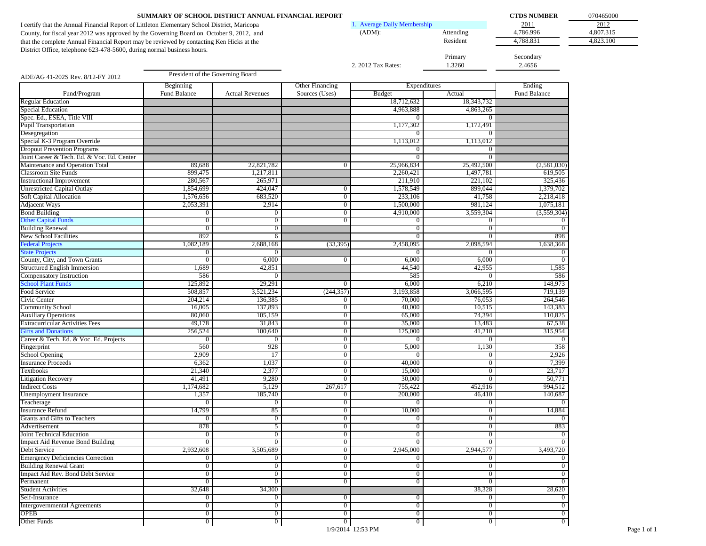|                                                                                              | SUMMARY OF SCHOOL DISTRICT ANNUAL FINANCIAL REPORT |                        |                                  |                               |                  | <b>CTDS NUMBER</b> | 070465000 |
|----------------------------------------------------------------------------------------------|----------------------------------------------------|------------------------|----------------------------------|-------------------------------|------------------|--------------------|-----------|
| I certify that the Annual Financial Report of Littleton Elementary School District, Maricopa |                                                    |                        |                                  | 1. Average Daily Membership   |                  | 2011               | 2012      |
| County, for fiscal year 2012 was approved by the Governing Board on October 9, 2012, and     |                                                    |                        |                                  | $(ADM)$ :                     | Attending        | 4,786.996          | 4,807.315 |
| that the complete Annual Financial Report may be reviewed by contacting Ken Hicks at the     |                                                    |                        |                                  |                               | Resident         | 4,788.831          | 4,823.100 |
| District Office, telephone 623-478-5600, during normal business hours.                       |                                                    |                        |                                  |                               |                  |                    |           |
|                                                                                              |                                                    |                        |                                  |                               | Primary          | Secondary          |           |
|                                                                                              |                                                    |                        |                                  | 2. 2012 Tax Rates:            | 1.3260           | 2.4656             |           |
| ADE/AG 41-202S Rev. 8/12-FY 2012                                                             | President of the Governing Board                   |                        |                                  |                               |                  |                    |           |
|                                                                                              |                                                    |                        | Other Financing                  |                               |                  | Ending             |           |
| Fund/Program                                                                                 | Beginning<br>Fund Balance                          | <b>Actual Revenues</b> | Sources (Uses)                   | Expenditures<br><b>Budget</b> | Actual           | Fund Balance       |           |
| <b>Regular Education</b>                                                                     |                                                    |                        |                                  | 18,712,632                    | 18,343,732       |                    |           |
| Special Education                                                                            |                                                    |                        |                                  | 4,963,888                     | 4,863,265        |                    |           |
| Spec. Ed., ESEA, Title VIII                                                                  |                                                    |                        |                                  | $\Omega$                      | $\mathbf{0}$     |                    |           |
| <b>Pupil Transportation</b>                                                                  |                                                    |                        |                                  | 1,177,302                     | 1,172,491        |                    |           |
| Desegregation                                                                                |                                                    |                        |                                  |                               |                  |                    |           |
| Special K-3 Program Override                                                                 |                                                    |                        |                                  | 1,113,012                     | 1,113,012        |                    |           |
| <b>Dropout Prevention Programs</b>                                                           |                                                    |                        |                                  | $\overline{0}$                | $\overline{0}$   |                    |           |
| Joint Career & Tech. Ed. & Voc. Ed. Center                                                   |                                                    |                        |                                  | $\Omega$                      | $\mathbf{0}$     |                    |           |
| Maintenance and Operation Total                                                              | 89,688                                             | 22,821,782             | $\overline{0}$                   | 25,966,834                    | 25,492,500       | (2,581,030)        |           |
| <b>Classroom Site Funds</b>                                                                  | 899,475                                            | 1,217,811              |                                  | 2,260,421                     | 1,497,781        | 619,505            |           |
| <b>Instructional Improvement</b>                                                             | 280,567                                            | 265,971                |                                  | 211,910                       | 221,102          | 325,436            |           |
| <b>Unrestricted Capital Outlay</b>                                                           | 1,854,699                                          | 424,047                | $\overline{0}$                   | 1,578,549                     | 899,044          | 1,379,702          |           |
| <b>Soft Capital Allocation</b>                                                               | 1,576,656                                          | 683,520                | $\overline{0}$                   | 233,106                       | 41,758           | 2,218,418          |           |
| <b>Adjacent Ways</b>                                                                         | 2,053,391                                          | 2,914                  | $\overline{0}$                   | 1,500,000                     | 981,124          | 1,075,181          |           |
| <b>Bond Building</b>                                                                         | $\overline{0}$                                     | $\overline{0}$         | $\overline{0}$                   | 4,910,000                     | 3,559,304        | (3,559,304)        |           |
| <b>Other Capital Funds</b>                                                                   | $\overline{0}$                                     | $\overline{0}$         | $\overline{0}$                   | $\overline{0}$                | $\mathbf{0}$     | $\Omega$           |           |
| <b>Building Renewal</b>                                                                      | $\overline{0}$                                     | $\overline{0}$         |                                  | $\overline{0}$                | $\mathbf{0}$     | $\Omega$           |           |
| New School Facilities                                                                        | 892                                                | 6                      |                                  | $\overline{0}$                | $\overline{0}$   | 898                |           |
| <b>Federal Projects</b>                                                                      | 1,082,189                                          | 2,688,168              | (33,395)                         | 2,458,095                     | 2,098,594        | 1,638,368          |           |
| <b>State Projects</b>                                                                        | $\bf{0}$                                           | $\mathbf{0}$           |                                  |                               | $\theta$         |                    |           |
| County, City, and Town Grants                                                                | $\overline{0}$                                     | 6,000                  | $\overline{0}$                   | 6,000                         | 6,000            |                    |           |
| Structured English Immersion                                                                 | 1,689                                              | 42,851                 |                                  | 44,540                        | 42,955           | 1,585              |           |
| Compensatory Instruction                                                                     | 586                                                | $\mathbf{0}$           |                                  | 585                           | $\Omega$         | 586                |           |
| <b>School Plant Funds</b>                                                                    | 125,892                                            | 29,291                 | $\bf{0}$                         | 6,000                         | 6,210            | 148,973            |           |
| Food Service                                                                                 | 508,857                                            | 3,521,234              | (244, 357)                       | 3,193,858                     | 3,066,595        | 719,139            |           |
| Civic Center                                                                                 | 204,214                                            | 136,385<br>137,893     | $\overline{0}$<br>$\overline{0}$ | 70,000<br>40,000              | 76,053<br>10,515 | 264,546<br>143,383 |           |
| <b>Community School</b>                                                                      | 16,005<br>80,060                                   |                        | $\overline{0}$                   | 65,000                        | 74,394           | 110,825            |           |
| <b>Auxiliary Operations</b><br><b>Extracurricular Activities Fees</b>                        | 49,178                                             | 105,159<br>31,843      | $\overline{0}$                   | 35,000                        | 13,483           | 67,538             |           |
| <b>Gifts and Donations</b>                                                                   | 256,524                                            | 100,640                | $\overline{0}$                   | 125,000                       | 41,210           | 315,954            |           |
| Career & Tech. Ed. & Voc. Ed. Projects                                                       | $\overline{0}$                                     | $\overline{0}$         | $\overline{0}$                   | $\Omega$                      | $\overline{0}$   | $\Omega$           |           |
| Fingerprint                                                                                  | 560                                                | 928                    | $\overline{0}$                   | 5,000                         | 1,130            | 358                |           |
| School Opening                                                                               | 2,909                                              | 17                     | $\overline{0}$                   | $\Omega$                      | $\mathbf{0}$     | 2,926              |           |
| <b>Insurance Proceeds</b>                                                                    | 6,362                                              | 1,037                  | $\overline{0}$                   | 40,000                        | $\overline{0}$   | 7,399              |           |
| Textbooks                                                                                    | 21,340                                             | 2,377                  | $\overline{0}$                   | 15,000                        | $\mathbf{0}$     | 23,717             |           |
| <b>Litigation Recovery</b>                                                                   | 41,491                                             | 9,280                  | $\overline{0}$                   | 30,000                        | $\overline{0}$   | 50,771             |           |
| <b>Indirect Costs</b>                                                                        | 1,174,682                                          | 5,129                  | 267,617                          | 755,422                       | 452,916          | 994,512            |           |
| <b>Unemployment Insurance</b>                                                                | 1,357                                              | 185,740                | $\overline{0}$                   | 200,000                       | 46,410           | 140,687            |           |
| Teacherage                                                                                   | $\overline{0}$                                     | $\overline{0}$         | $\overline{0}$                   | $\Omega$                      | $\mathbf{0}$     | $\overline{0}$     |           |
| <b>Insurance Refund</b>                                                                      | 14.799                                             | 85                     | $\overline{0}$                   | 10.000                        | $\overline{0}$   | 14.884             |           |
| Grants and Gifts to Teachers                                                                 | $\overline{0}$                                     | $\overline{0}$         | $\overline{0}$                   | $\overline{0}$                | $\overline{0}$   | $\overline{0}$     |           |
| Advertisement                                                                                | 878                                                | $\overline{5}$         | $\overline{0}$                   | $\overline{0}$                | $\overline{0}$   | 883                |           |
| Joint Technical Education                                                                    | $\bf{0}$                                           | $\overline{0}$         | $\overline{0}$                   | $\mathbf{0}$                  | $\mathbf{0}$     | $\overline{0}$     |           |
| <b>Impact Aid Revenue Bond Building</b>                                                      | $\overline{0}$                                     | $\overline{0}$         | $\overline{0}$                   | $\overline{0}$                | $\mathbf{0}$     | $\overline{0}$     |           |
| Debt Service                                                                                 | 2,932,608                                          | 3,505,689              | $\overline{0}$                   | 2,945,000                     | 2,944,577        | 3,493,720          |           |
| <b>Emergency Deficiencies Correction</b>                                                     | $\overline{0}$                                     | $\overline{0}$         | $\overline{0}$                   | $\bf{0}$                      | $\mathbf{0}$     | $\bf{0}$           |           |
| <b>Building Renewal Grant</b>                                                                | $\overline{0}$                                     | $\overline{0}$         | $\overline{0}$                   | $\bf{0}$                      | $\mathbf{0}$     | $\mathbf{0}$       |           |
| Impact Aid Rev. Bond Debt Service                                                            | $\overline{0}$                                     | $\overline{0}$         | $\overline{0}$                   | $\mathbf{0}$                  | $\mathbf{0}$     | $\mathbf{0}$       |           |
| Permanent                                                                                    | $\overline{0}$                                     | $\overline{0}$         | $\overline{0}$                   | $\overline{0}$                | $\mathbf{0}$     | $\overline{0}$     |           |
| <b>Student Activities</b>                                                                    | 32,648                                             | 34,300                 |                                  |                               | 38,328           | 28,620             |           |
| Self-Insurance                                                                               | $\mathbf{0}$                                       | $\overline{0}$         | $\overline{0}$                   | $\bf{0}$                      | $\mathbf{0}$     | $\mathbf{0}$       |           |
| <b>Intergovernmental Agreements</b>                                                          | $\overline{0}$                                     | $\overline{0}$         | $\overline{0}$                   | $\overline{0}$                | $\overline{0}$   | $\overline{0}$     |           |
| <b>OPEB</b>                                                                                  | $\overline{0}$                                     | $\overline{0}$         | $\overline{0}$                   | $\overline{0}$                | $\overline{0}$   | $\overline{0}$     |           |
| Other Funds                                                                                  | $\overline{0}$                                     | $\overline{0}$         | $\overline{0}$                   | $\mathbf{0}$                  | $\mathbf{0}$     | $\boldsymbol{0}$   |           |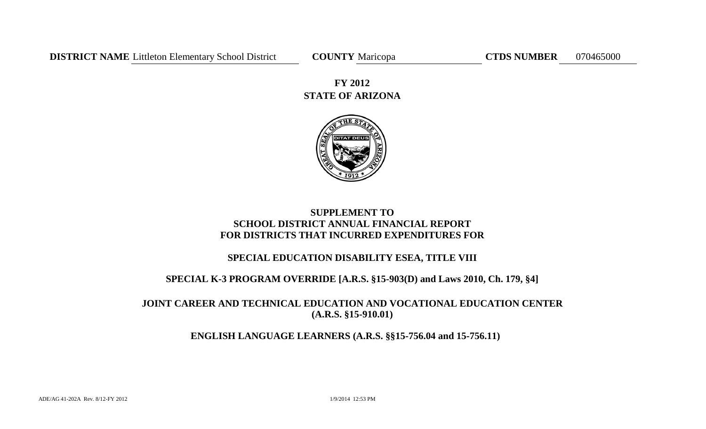# **STATE OF ARIZONA FY 2012**



# **SUPPLEMENT TO SCHOOL DISTRICT ANNUAL FINANCIAL REPORT FOR DISTRICTS THAT INCURRED EXPENDITURES FOR**

# **SPECIAL EDUCATION DISABILITY ESEA, TITLE VIII**

# **SPECIAL K-3 PROGRAM OVERRIDE [A.R.S. §15-903(D) and Laws 2010, Ch. 179, §4]**

# **JOINT CAREER AND TECHNICAL EDUCATION AND VOCATIONAL EDUCATION CENTER (A.R.S. §15-910.01)**

# **ENGLISH LANGUAGE LEARNERS (A.R.S. §§15-756.04 and 15-756.11)**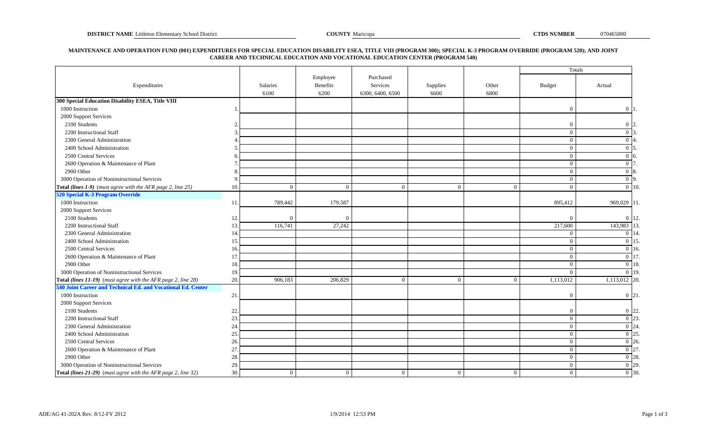## **MAINTENANCE AND OPERATION FUND (001) EXPENDITURES FOR SPECIAL EDUCATION DISABILITY ESEA, TITLE VIII (PROGRAM 300); SPECIAL K-3 PROGRAM OVERRIDE (PROGRAM 520); AND JOINT CAREER AND TECHNICAL EDUCATION AND VOCATIONAL EDUCATION CENTER (PROGRAM 540)**

|                                                               |     |                 |                      |                       |                |                | Totals         |                    |
|---------------------------------------------------------------|-----|-----------------|----------------------|-----------------------|----------------|----------------|----------------|--------------------|
| Expenditures                                                  |     | <b>Salaries</b> | Employee<br>Benefits | Purchased<br>Services | Supplies       | Other          | <b>Budget</b>  | Actual             |
|                                                               |     | 6100            | 6200                 | 6300, 6400, 6500      | 6600           | 6800           |                |                    |
| 300 Special Education Disability ESEA, Title VIII             |     |                 |                      |                       |                |                |                |                    |
| 1000 Instruction                                              |     |                 |                      |                       |                |                | $\Omega$       | $0\vert 1$         |
| 2000 Support Services                                         |     |                 |                      |                       |                |                |                |                    |
| 2100 Students                                                 |     |                 |                      |                       |                |                | $\Omega$       | $0\vert 2$         |
| 2200 Instructional Staff                                      |     |                 |                      |                       |                |                | $\overline{0}$ | $0\vert 3$         |
| 2300 General Administration                                   |     |                 |                      |                       |                |                | $\overline{0}$ | $0\vert 4$         |
| 2400 School Administration                                    |     |                 |                      |                       |                |                | $\overline{0}$ | $0\vert 5$         |
| 2500 Central Services                                         |     |                 |                      |                       |                |                | $\overline{0}$ | $\Omega$           |
| 2600 Operation & Maintenance of Plant                         |     |                 |                      |                       |                |                | $\overline{0}$ | 0 <sub>17</sub>    |
| 2900 Other                                                    |     |                 |                      |                       |                |                | $\overline{0}$ | $0\vert 8$ .       |
| 3000 Operation of Noninstructional Services                   |     |                 |                      |                       |                |                | $\overline{0}$ | $0\vert 9$         |
| Total (lines 1-9) (must agree with the AFR page 2, line 25)   | 10. | $\Omega$        | $\overline{0}$       | $\theta$              | $\Omega$       | $\Omega$       | $\overline{0}$ | $\overline{0}$ 10. |
| 520 Special K-3 Program Override                              |     |                 |                      |                       |                |                |                |                    |
| 1000 Instruction                                              | 11. | 789,442         | 179,587              |                       |                |                | 895,412        | 969,029 11.        |
| 2000 Support Services                                         |     |                 |                      |                       |                |                |                |                    |
| 2100 Students                                                 | 12. | $\Omega$        | $\Omega$             |                       |                |                | $\Omega$       | $0 \vert 12.$      |
| 2200 Instructional Staff                                      | 13. | 116,741         | 27,242               |                       |                |                | 217,600        | 143,983<br>13      |
| 2300 General Administration                                   | 14  |                 |                      |                       |                |                | $\overline{0}$ | 0 14               |
| 2400 School Administration                                    | 15. |                 |                      |                       |                |                | $\overline{0}$ | $0 \; 15$          |
| 2500 Central Services                                         | 16. |                 |                      |                       |                |                | $\overline{0}$ | $0 \vert 16.$      |
| 2600 Operation & Maintenance of Plant                         | 17  |                 |                      |                       |                |                | $\overline{0}$ | $0 \mid 17$        |
| 2900 Other                                                    | 18  |                 |                      |                       |                |                | $\theta$       | $0 \vert 18$ .     |
| 3000 Operation of Noninstructional Services                   | 19. |                 |                      |                       |                |                | $\theta$       | $\overline{0}$ 19. |
| Total (lines 11-19) (must agree with the AFR page 2, line 28) | 20. | 906,183         | 206,829              | $\overline{0}$        | $\Omega$       | $\theta$       | 1,113,012      | $1,113,012$ 20.    |
| 540 Joint Career and Technical Ed. and Vocational Ed. Center  |     |                 |                      |                       |                |                |                |                    |
| 1000 Instruction                                              | 21. |                 |                      |                       |                |                | $\Omega$       | $0 \vert 21$ .     |
| 2000 Support Services                                         |     |                 |                      |                       |                |                |                |                    |
| 2100 Students                                                 | 22  |                 |                      |                       |                |                | $\Omega$       | $0 \vert 22$       |
| 2200 Instructional Staff                                      | 23. |                 |                      |                       |                |                | $\overline{0}$ | $\overline{0}$ 23  |
| 2300 General Administration                                   | 24  |                 |                      |                       |                |                | $\overline{0}$ | $\overline{0}$ 24. |
| 2400 School Administration                                    | 25. |                 |                      |                       |                |                | $\overline{0}$ | $0\vert 25$        |
| 2500 Central Services                                         | 26. |                 |                      |                       |                |                | $\overline{0}$ | $0\,126$           |
| 2600 Operation & Maintenance of Plant                         | 27. |                 |                      |                       |                |                | $\overline{0}$ | $0\vert 27$        |
| 2900 Other                                                    | 28. |                 |                      |                       |                |                | $\overline{0}$ | $\overline{0}$ 28. |
| 3000 Operation of Noninstructional Services                   | 29. |                 |                      |                       |                |                | $\overline{0}$ | $\overline{0}$ 29. |
| Total (lines 21-29) (must agree with the AFR page 2, line 32) | 30. | $\overline{0}$  | $\mathbf{0}$         | $\mathbf{0}$          | $\overline{0}$ | $\overline{0}$ | $\mathbf{0}$   | $\overline{0}$ 30. |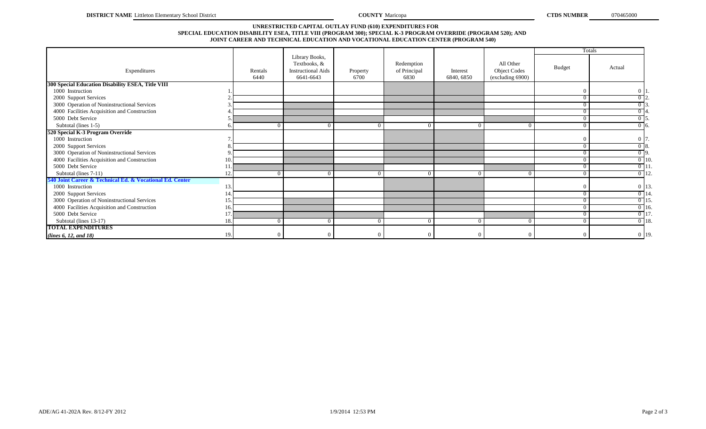## **SPECIAL EDUCATION DISABILITY ESEA, TITLE VIII (PROGRAM 300); SPECIAL K-3 PROGRAM OVERRIDE (PROGRAM 520); AND JOINT CAREER AND TECHNICAL EDUCATION AND VOCATIONAL EDUCATION CENTER (PROGRAM 540) UNRESTRICTED CAPITAL OUTLAY FUND (610) EXPENDITURES FOR**

|                                                          |     |                 |                                                                          |                  |                                    |                        |                                                      |                | <b>Totals</b>     |
|----------------------------------------------------------|-----|-----------------|--------------------------------------------------------------------------|------------------|------------------------------------|------------------------|------------------------------------------------------|----------------|-------------------|
| Expenditures                                             |     | Rentals<br>6440 | Library Books,<br>Textbooks, &<br><b>Instructional Aids</b><br>6641-6643 | Property<br>6700 | Redemption<br>of Principal<br>6830 | Interest<br>6840, 6850 | All Other<br><b>Object Codes</b><br>(excluding 6900) | <b>Budget</b>  | Actual            |
| 300 Special Education Disability ESEA, Title VIII        |     |                 |                                                                          |                  |                                    |                        |                                                      |                |                   |
| 1000 Instruction                                         |     |                 |                                                                          |                  |                                    |                        |                                                      | $\Omega$       | 0 1               |
| 2000 Support Services                                    |     |                 |                                                                          |                  |                                    |                        |                                                      | $\Omega$       | $0\sqrt{2}$       |
| 3000 Operation of Noninstructional Services              |     |                 |                                                                          |                  |                                    |                        |                                                      | $\Omega$       | $\overline{0}$ 3. |
| 4000 Facilities Acquisition and Construction             |     |                 |                                                                          |                  |                                    |                        |                                                      | $\Omega$       |                   |
| 5000 Debt Service                                        |     |                 |                                                                          |                  |                                    |                        |                                                      | $\overline{0}$ | $0\,$ 5.          |
| Subtotal (lines 1-5)                                     |     |                 |                                                                          | $\Omega$         | $\Omega$                           | $\Omega$               | $\Omega$                                             | $\overline{0}$ | $\overline{0}$ 6. |
| 520 Special K-3 Program Override                         |     |                 |                                                                          |                  |                                    |                        |                                                      |                |                   |
| 1000 Instruction                                         |     |                 |                                                                          |                  |                                    |                        |                                                      | $\Omega$       | $0\vert 7$        |
| 2000 Support Services                                    |     |                 |                                                                          |                  |                                    |                        |                                                      | $\Omega$       | $\overline{0}$ 8. |
| 3000 Operation of Noninstructional Services              |     |                 |                                                                          |                  |                                    |                        |                                                      | $\Omega$       | $\overline{0}$ 9. |
| 4000 Facilities Acquisition and Construction             | 10. |                 |                                                                          |                  |                                    |                        |                                                      | $\overline{0}$ | $0$ 10.           |
| 5000 Debt Service                                        |     |                 |                                                                          |                  |                                    |                        |                                                      | $\Omega$       | $0$ 11            |
| Subtotal (lines 7-11)                                    | 12  |                 |                                                                          | $^{(1)}$         |                                    |                        |                                                      | $\Omega$       | $0$ 12.           |
| 540 Joint Career & Technical Ed. & Vocational Ed. Center |     |                 |                                                                          |                  |                                    |                        |                                                      |                |                   |
| 1000 Instruction                                         | 13. |                 |                                                                          |                  |                                    |                        |                                                      | $\Omega$       | 0 13.             |
| 2000 Support Services                                    | 14  |                 |                                                                          |                  |                                    |                        |                                                      | $\Omega$       | $0$ 14            |
| 3000 Operation of Noninstructional Services              | 15  |                 |                                                                          |                  |                                    |                        |                                                      | $\theta$       | $0$ 15            |
| 4000 Facilities Acquisition and Construction             | 16. |                 |                                                                          |                  |                                    |                        |                                                      | $\Omega$       | $0$ 16.           |
| 5000 Debt Service                                        | 17  |                 |                                                                          |                  |                                    |                        |                                                      | $\Omega$       | $0$ 17            |
| Subtotal (lines 13-17)                                   | 18. |                 |                                                                          | $\Omega$         | $\Omega$                           | $\Omega$               | $\Omega$                                             | $\overline{0}$ | $0$ 18.           |
| <b>TOTAL EXPENDITURES</b>                                |     |                 |                                                                          |                  |                                    |                        |                                                      |                |                   |
| (lines 6, 12, and 18)                                    | 19. |                 |                                                                          |                  |                                    |                        | $^{\circ}$                                           | $\Omega$       | $0$ 19.           |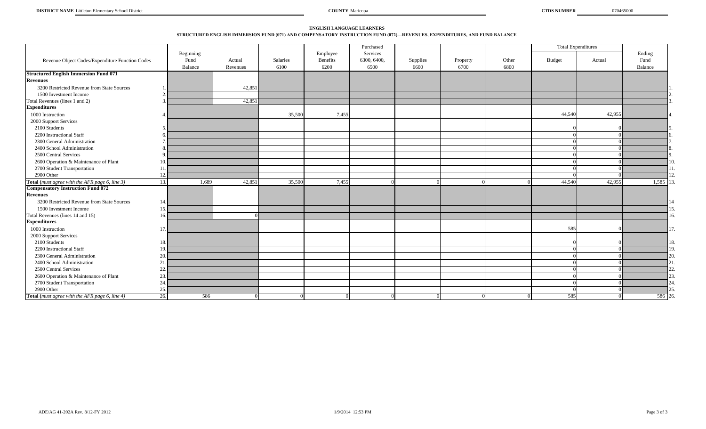# **ENGLISH LANGUAGE LEARNERS STRUCTURED ENGLISH IMMERSION FUND (071) AND COMPENSATORY INSTRUCTION FUND (072)—REVENUES, EXPENDITURES, AND FUND BALANCE**

|                                                 |          |                 |                    |                  |                         | Purchased           |                  |                  |               |        | <b>Total Expenditures</b> |                |
|-------------------------------------------------|----------|-----------------|--------------------|------------------|-------------------------|---------------------|------------------|------------------|---------------|--------|---------------------------|----------------|
|                                                 |          | Beginning       |                    |                  | Employee                | Services            |                  |                  |               |        |                           | Ending<br>Fund |
| Revenue Object Codes/Expenditure Function Codes |          | Fund<br>Balance | Actual<br>Revenues | Salaries<br>6100 | <b>Benefits</b><br>6200 | 6300, 6400,<br>6500 | Supplies<br>6600 | Property<br>6700 | Other<br>6800 | Budget | Actual                    | Balance        |
| <b>Structured English Immersion Fund 071</b>    |          |                 |                    |                  |                         |                     |                  |                  |               |        |                           |                |
| <b>Revenues</b>                                 |          |                 |                    |                  |                         |                     |                  |                  |               |        |                           |                |
| 3200 Restricted Revenue from State Sources      |          |                 | 42,851             |                  |                         |                     |                  |                  |               |        |                           |                |
| 1500 Investment Income                          |          |                 |                    |                  |                         |                     |                  |                  |               |        |                           |                |
| Total Revenues (lines 1 and 2)                  |          |                 | 42,851             |                  |                         |                     |                  |                  |               |        |                           |                |
| <b>Expenditures</b>                             |          |                 |                    |                  |                         |                     |                  |                  |               |        |                           |                |
| 1000 Instruction                                |          |                 |                    | 35,500           | 7,455                   |                     |                  |                  |               | 44,540 | 42,955                    |                |
| 2000 Support Services                           |          |                 |                    |                  |                         |                     |                  |                  |               |        |                           |                |
| 2100 Students                                   |          |                 |                    |                  |                         |                     |                  |                  |               |        |                           |                |
| 2200 Instructional Staff                        |          |                 |                    |                  |                         |                     |                  |                  |               |        |                           |                |
| 2300 General Administration                     |          |                 |                    |                  |                         |                     |                  |                  |               |        |                           |                |
| 2400 School Administration                      |          |                 |                    |                  |                         |                     |                  |                  |               |        |                           |                |
| 2500 Central Services                           | $\Omega$ |                 |                    |                  |                         |                     |                  |                  |               |        |                           |                |
| 2600 Operation & Maintenance of Plant           | 10.      |                 |                    |                  |                         |                     |                  |                  |               |        |                           |                |
| 2700 Student Transportation                     | 11       |                 |                    |                  |                         |                     |                  |                  |               |        |                           |                |
| 2900 Other                                      | 12.      |                 |                    |                  |                         |                     |                  |                  |               |        |                           |                |
| Total (must agree with the AFR page 6, line 3)  | 13.      | 1,689           | 42,851             | 35,500           | 7,455                   |                     |                  |                  |               | 44,540 | 42,955                    | 1,585          |
| <b>Compensatory Instruction Fund 072</b>        |          |                 |                    |                  |                         |                     |                  |                  |               |        |                           |                |
| <b>Revenues</b>                                 |          |                 |                    |                  |                         |                     |                  |                  |               |        |                           |                |
| 3200 Restricted Revenue from State Sources      | 14.      |                 |                    |                  |                         |                     |                  |                  |               |        |                           |                |
| 1500 Investment Income                          | 15.      |                 |                    |                  |                         |                     |                  |                  |               |        |                           |                |
| Total Revenues (lines 14 and 15)                | 16.      |                 |                    |                  |                         |                     |                  |                  |               |        |                           |                |
| <b>Expenditures</b>                             |          |                 |                    |                  |                         |                     |                  |                  |               |        |                           |                |
| 1000 Instruction                                | 17.      |                 |                    |                  |                         |                     |                  |                  |               | 585    |                           | 17             |
| 2000 Support Services                           |          |                 |                    |                  |                         |                     |                  |                  |               |        |                           |                |
| 2100 Students                                   | 18.      |                 |                    |                  |                         |                     |                  |                  |               |        |                           |                |
| 2200 Instructional Staff                        | 19.      |                 |                    |                  |                         |                     |                  |                  |               |        |                           |                |
| 2300 General Administration                     | 20.      |                 |                    |                  |                         |                     |                  |                  |               |        |                           | 20             |
| 2400 School Administration                      | 21       |                 |                    |                  |                         |                     |                  |                  |               |        |                           |                |
| 2500 Central Services                           | 22.      |                 |                    |                  |                         |                     |                  |                  |               |        |                           |                |
| 2600 Operation & Maintenance of Plant           | 23.      |                 |                    |                  |                         |                     |                  |                  |               |        |                           |                |
| 2700 Student Transportation                     | 24.      |                 |                    |                  |                         |                     |                  |                  |               |        |                           |                |
| 2900 Other                                      | 25.      |                 |                    |                  |                         |                     |                  |                  |               |        |                           |                |
| Total (must agree with the AFR page 6, line 4)  | 26.      | 586             |                    |                  | $\Omega$                |                     |                  |                  | $\Omega$      | 585    |                           | 586 26         |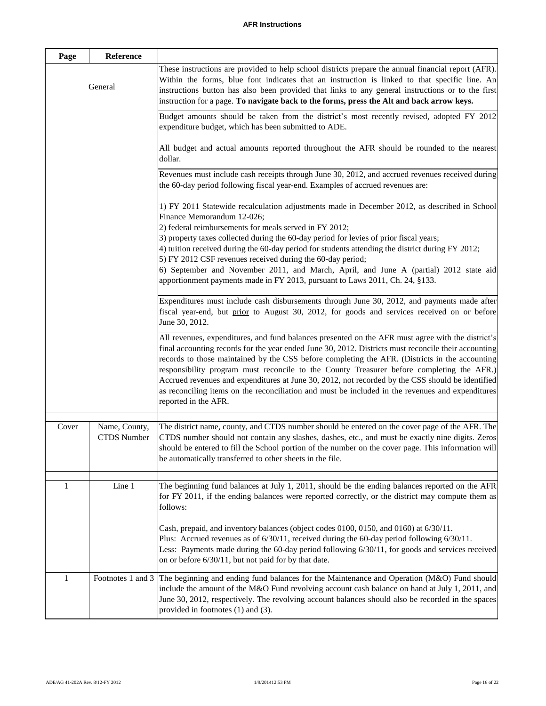| Page  | Reference                           |                                                                                                                                                                                                                                                                                                                                                                                                                                                                                                                                                                                                                                          |
|-------|-------------------------------------|------------------------------------------------------------------------------------------------------------------------------------------------------------------------------------------------------------------------------------------------------------------------------------------------------------------------------------------------------------------------------------------------------------------------------------------------------------------------------------------------------------------------------------------------------------------------------------------------------------------------------------------|
|       | General                             | These instructions are provided to help school districts prepare the annual financial report (AFR).<br>Within the forms, blue font indicates that an instruction is linked to that specific line. An<br>instructions button has also been provided that links to any general instructions or to the first<br>instruction for a page. To navigate back to the forms, press the Alt and back arrow keys.                                                                                                                                                                                                                                   |
|       |                                     | Budget amounts should be taken from the district's most recently revised, adopted FY 2012<br>expenditure budget, which has been submitted to ADE.                                                                                                                                                                                                                                                                                                                                                                                                                                                                                        |
|       |                                     | All budget and actual amounts reported throughout the AFR should be rounded to the nearest<br>dollar.                                                                                                                                                                                                                                                                                                                                                                                                                                                                                                                                    |
|       |                                     | Revenues must include cash receipts through June 30, 2012, and accrued revenues received during<br>the 60-day period following fiscal year-end. Examples of accrued revenues are:                                                                                                                                                                                                                                                                                                                                                                                                                                                        |
|       |                                     | 1) FY 2011 Statewide recalculation adjustments made in December 2012, as described in School<br>Finance Memorandum 12-026;<br>2) federal reimbursements for meals served in FY 2012;                                                                                                                                                                                                                                                                                                                                                                                                                                                     |
|       |                                     | 3) property taxes collected during the 60-day period for levies of prior fiscal years;<br>4) tuition received during the 60-day period for students attending the district during FY 2012;<br>5) FY 2012 CSF revenues received during the 60-day period;                                                                                                                                                                                                                                                                                                                                                                                 |
|       |                                     | 6) September and November 2011, and March, April, and June A (partial) 2012 state aid<br>apportionment payments made in FY 2013, pursuant to Laws 2011, Ch. 24, §133.                                                                                                                                                                                                                                                                                                                                                                                                                                                                    |
|       |                                     | Expenditures must include cash disbursements through June 30, 2012, and payments made after<br>fiscal year-end, but prior to August 30, 2012, for goods and services received on or before<br>June 30, 2012.                                                                                                                                                                                                                                                                                                                                                                                                                             |
|       |                                     | All revenues, expenditures, and fund balances presented on the AFR must agree with the district's<br>final accounting records for the year ended June 30, 2012. Districts must reconcile their accounting<br>records to those maintained by the CSS before completing the AFR. (Districts in the accounting<br>responsibility program must reconcile to the County Treasurer before completing the AFR.)<br>Accrued revenues and expenditures at June 30, 2012, not recorded by the CSS should be identified<br>as reconciling items on the reconciliation and must be included in the revenues and expenditures<br>reported in the AFR. |
| Cover | Name, County,<br><b>CTDS</b> Number | The district name, county, and CTDS number should be entered on the cover page of the AFR. The<br>CTDS number should not contain any slashes, dashes, etc., and must be exactly nine digits. Zeros<br>should be entered to fill the School portion of the number on the cover page. This information will<br>be automatically transferred to other sheets in the file.                                                                                                                                                                                                                                                                   |
| 1     | Line 1                              | The beginning fund balances at July 1, 2011, should be the ending balances reported on the AFR<br>for FY 2011, if the ending balances were reported correctly, or the district may compute them as<br>follows:                                                                                                                                                                                                                                                                                                                                                                                                                           |
|       |                                     | Cash, prepaid, and inventory balances (object codes 0100, 0150, and 0160) at 6/30/11.<br>Plus: Accrued revenues as of $6/30/11$ , received during the 60-day period following $6/30/11$ .<br>Less: Payments made during the 60-day period following 6/30/11, for goods and services received<br>on or before 6/30/11, but not paid for by that date.                                                                                                                                                                                                                                                                                     |
| 1     |                                     | Footnotes 1 and 3 The beginning and ending fund balances for the Maintenance and Operation (M&O) Fund should<br>include the amount of the M&O Fund revolving account cash balance on hand at July 1, 2011, and<br>June 30, 2012, respectively. The revolving account balances should also be recorded in the spaces<br>provided in footnotes (1) and (3).                                                                                                                                                                                                                                                                                |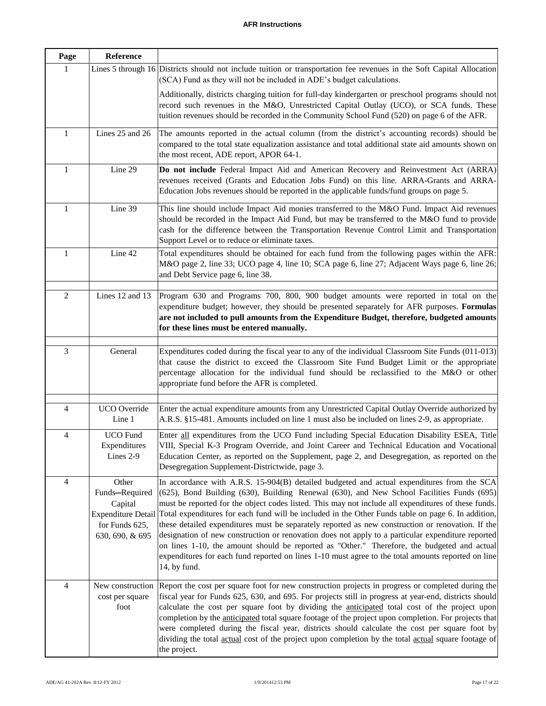| Page           | Reference                                                               |                                                                                                                                                                                                                                                                                                                                                                                                                                                                                                                                                                                                                                                                                                                                                                                                                                                        |
|----------------|-------------------------------------------------------------------------|--------------------------------------------------------------------------------------------------------------------------------------------------------------------------------------------------------------------------------------------------------------------------------------------------------------------------------------------------------------------------------------------------------------------------------------------------------------------------------------------------------------------------------------------------------------------------------------------------------------------------------------------------------------------------------------------------------------------------------------------------------------------------------------------------------------------------------------------------------|
| 1              |                                                                         | Lines 5 through 16 Districts should not include tuition or transportation fee revenues in the Soft Capital Allocation<br>(SCA) Fund as they will not be included in ADE's budget calculations.                                                                                                                                                                                                                                                                                                                                                                                                                                                                                                                                                                                                                                                         |
|                |                                                                         | Additionally, districts charging tuition for full-day kindergarten or preschool programs should not<br>record such revenues in the M&O, Unrestricted Capital Outlay (UCO), or SCA funds. These<br>tuition revenues should be recorded in the Community School Fund (520) on page 6 of the AFR.                                                                                                                                                                                                                                                                                                                                                                                                                                                                                                                                                         |
| 1              | Lines 25 and 26                                                         | The amounts reported in the actual column (from the district's accounting records) should be<br>compared to the total state equalization assistance and total additional state aid amounts shown on<br>the most recent, ADE report, APOR 64-1.                                                                                                                                                                                                                                                                                                                                                                                                                                                                                                                                                                                                         |
| 1              | Line 29                                                                 | Do not include Federal Impact Aid and American Recovery and Reinvestment Act (ARRA)<br>revenues received (Grants and Education Jobs Fund) on this line. ARRA-Grants and ARRA-<br>Education Jobs revenues should be reported in the applicable funds/fund groups on page 5.                                                                                                                                                                                                                                                                                                                                                                                                                                                                                                                                                                             |
| $\mathbf{1}$   | Line 39                                                                 | This line should include Impact Aid monies transferred to the M&O Fund. Impact Aid revenues<br>should be recorded in the Impact Aid Fund, but may be transferred to the M&O fund to provide<br>cash for the difference between the Transportation Revenue Control Limit and Transportation<br>Support Level or to reduce or eliminate taxes.                                                                                                                                                                                                                                                                                                                                                                                                                                                                                                           |
| 1              | Line 42                                                                 | Total expenditures should be obtained for each fund from the following pages within the AFR:<br>M&O page 2, line 33; UCO page 4, line 10; SCA page 6, line 27; Adjacent Ways page 6, line 26;<br>and Debt Service page 6, line 38.                                                                                                                                                                                                                                                                                                                                                                                                                                                                                                                                                                                                                     |
| $\overline{2}$ | Lines 12 and 13                                                         | Program 630 and Programs 700, 800, 900 budget amounts were reported in total on the<br>expenditure budget; however, they should be presented separately for AFR purposes. Formulas<br>are not included to pull amounts from the Expenditure Budget, therefore, budgeted amounts<br>for these lines must be entered manually.                                                                                                                                                                                                                                                                                                                                                                                                                                                                                                                           |
| 3              | General                                                                 | Expenditures coded during the fiscal year to any of the individual Classroom Site Funds (011-013)<br>that cause the district to exceed the Classroom Site Fund Budget Limit or the appropriate<br>percentage allocation for the individual fund should be reclassified to the M&O or other<br>appropriate fund before the AFR is completed.                                                                                                                                                                                                                                                                                                                                                                                                                                                                                                            |
| 4              | UCO Override<br>Line 1                                                  | Enter the actual expenditure amounts from any Unrestricted Capital Outlay Override authorized by<br>A.R.S. §15-481. Amounts included on line 1 must also be included on lines 2-9, as appropriate.                                                                                                                                                                                                                                                                                                                                                                                                                                                                                                                                                                                                                                                     |
| 4              | UCO Fund<br>Expenditures<br>Lines 2-9                                   | Enter all expenditures from the UCO Fund including Special Education Disability ESEA, Title<br>VIII, Special K-3 Program Override, and Joint Career and Technical Education and Vocational<br>Education Center, as reported on the Supplement, page 2, and Desegregation, as reported on the<br>Desegregation Supplement-Districtwide, page 3.                                                                                                                                                                                                                                                                                                                                                                                                                                                                                                         |
| 4              | Other<br>Funds-Required<br>Capital<br>for Funds 625,<br>630, 690, & 695 | In accordance with A.R.S. 15-904(B) detailed budgeted and actual expenditures from the SCA<br>(625), Bond Building (630), Building Renewal (630), and New School Facilities Funds (695)<br>must be reported for the object codes listed. This may not include all expenditures of these funds.<br>Expenditure Detail Total expenditures for each fund will be included in the Other Funds table on page 6. In addition,<br>these detailed expenditures must be separately reported as new construction or renovation. If the<br>designation of new construction or renovation does not apply to a particular expenditure reported<br>on lines 1-10, the amount should be reported as "Other." Therefore, the budgeted and actual<br>expenditures for each fund reported on lines 1-10 must agree to the total amounts reported on line<br>14, by fund. |
| 4              | New construction<br>cost per square<br>foot                             | Report the cost per square foot for new construction projects in progress or completed during the<br>fiscal year for Funds 625, 630, and 695. For projects still in progress at year-end, districts should<br>calculate the cost per square foot by dividing the anticipated total cost of the project upon<br>completion by the anticipated total square footage of the project upon completion. For projects that<br>were completed during the fiscal year, districts should calculate the cost per square foot by<br>dividing the total actual cost of the project upon completion by the total actual square footage of<br>the project.                                                                                                                                                                                                            |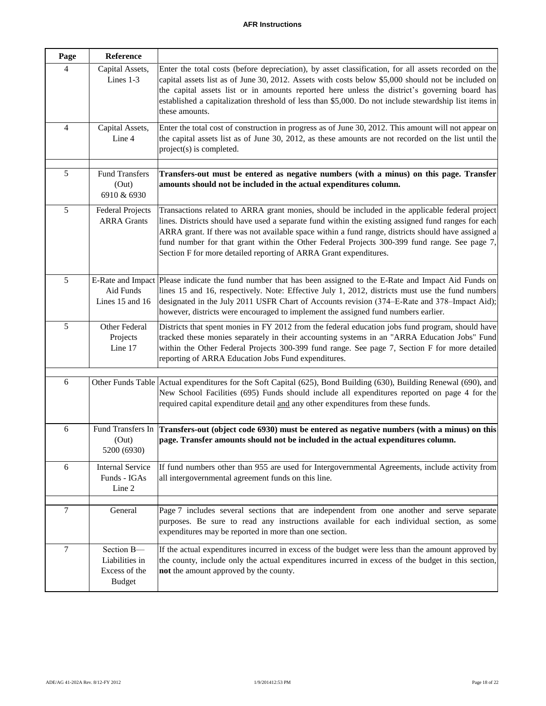| Page           | Reference                                                      |                                                                                                                                                                                                                                                                                                                                                                                                                                                                                   |
|----------------|----------------------------------------------------------------|-----------------------------------------------------------------------------------------------------------------------------------------------------------------------------------------------------------------------------------------------------------------------------------------------------------------------------------------------------------------------------------------------------------------------------------------------------------------------------------|
| 4              | Capital Assets,<br>Lines 1-3                                   | Enter the total costs (before depreciation), by asset classification, for all assets recorded on the<br>capital assets list as of June 30, 2012. Assets with costs below \$5,000 should not be included on<br>the capital assets list or in amounts reported here unless the district's governing board has<br>established a capitalization threshold of less than \$5,000. Do not include stewardship list items in<br>these amounts.                                            |
| $\overline{4}$ | Capital Assets,<br>Line 4                                      | Enter the total cost of construction in progress as of June 30, 2012. This amount will not appear on<br>the capital assets list as of June 30, 2012, as these amounts are not recorded on the list until the<br>project(s) is completed.                                                                                                                                                                                                                                          |
| 5              | <b>Fund Transfers</b><br>(Out)<br>6910 & 6930                  | Transfers-out must be entered as negative numbers (with a minus) on this page. Transfer<br>amounts should not be included in the actual expenditures column.                                                                                                                                                                                                                                                                                                                      |
| $\overline{5}$ | <b>Federal Projects</b><br><b>ARRA Grants</b>                  | Transactions related to ARRA grant monies, should be included in the applicable federal project<br>lines. Districts should have used a separate fund within the existing assigned fund ranges for each<br>ARRA grant. If there was not available space within a fund range, districts should have assigned a<br>fund number for that grant within the Other Federal Projects 300-399 fund range. See page 7,<br>Section F for more detailed reporting of ARRA Grant expenditures. |
| 5              | Aid Funds<br>Lines 15 and 16                                   | E-Rate and Impact Please indicate the fund number that has been assigned to the E-Rate and Impact Aid Funds on<br>lines 15 and 16, respectively. Note: Effective July 1, 2012, districts must use the fund numbers<br>designated in the July 2011 USFR Chart of Accounts revision (374–E-Rate and 378–Impact Aid);<br>however, districts were encouraged to implement the assigned fund numbers earlier.                                                                          |
| 5              | Other Federal<br>Projects<br>Line 17                           | Districts that spent monies in FY 2012 from the federal education jobs fund program, should have<br>tracked these monies separately in their accounting systems in an "ARRA Education Jobs" Fund<br>within the Other Federal Projects 300-399 fund range. See page 7, Section F for more detailed<br>reporting of ARRA Education Jobs Fund expenditures.                                                                                                                          |
| 6              |                                                                | Other Funds Table Actual expenditures for the Soft Capital (625), Bond Building (630), Building Renewal (690), and<br>New School Facilities (695) Funds should include all expenditures reported on page 4 for the<br>required capital expenditure detail and any other expenditures from these funds.                                                                                                                                                                            |
| 6              | Fund Transfers In<br>(Out)<br>5200 (6930)                      | Transfers-out (object code 6930) must be entered as negative numbers (with a minus) on this<br>page. Transfer amounts should not be included in the actual expenditures column.                                                                                                                                                                                                                                                                                                   |
| 6              | <b>Internal Service</b><br>Funds - IGAs<br>Line 2              | If fund numbers other than 955 are used for Intergovernmental Agreements, include activity from<br>all intergovernmental agreement funds on this line.                                                                                                                                                                                                                                                                                                                            |
| $\tau$         | General                                                        | Page 7 includes several sections that are independent from one another and serve separate<br>purposes. Be sure to read any instructions available for each individual section, as some<br>expenditures may be reported in more than one section.                                                                                                                                                                                                                                  |
| $\tau$         | Section B-<br>Liabilities in<br>Excess of the<br><b>Budget</b> | If the actual expenditures incurred in excess of the budget were less than the amount approved by<br>the county, include only the actual expenditures incurred in excess of the budget in this section,<br>not the amount approved by the county.                                                                                                                                                                                                                                 |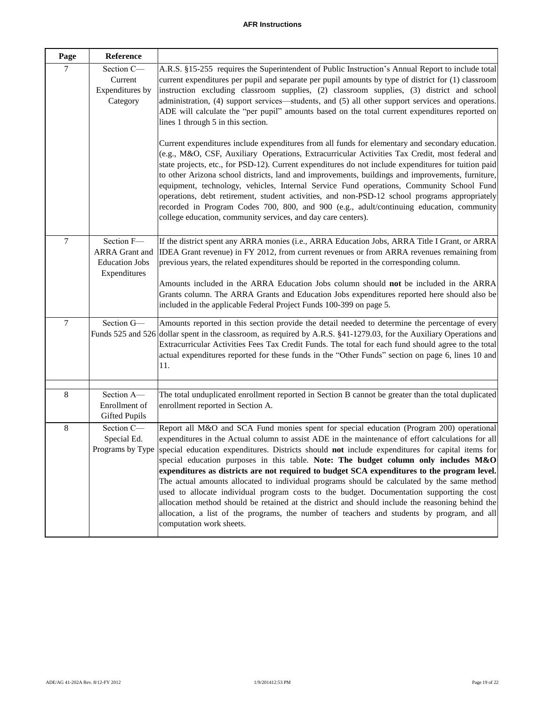## **AFR Instructions**

| Page             | Reference                                                                    |                                                                                                                                                                                                                                                                                                                                                                                                                                                                                                                                                                                                                                                                                                                                                                                                                                                                                                                    |
|------------------|------------------------------------------------------------------------------|--------------------------------------------------------------------------------------------------------------------------------------------------------------------------------------------------------------------------------------------------------------------------------------------------------------------------------------------------------------------------------------------------------------------------------------------------------------------------------------------------------------------------------------------------------------------------------------------------------------------------------------------------------------------------------------------------------------------------------------------------------------------------------------------------------------------------------------------------------------------------------------------------------------------|
| $\tau$           | Section C-<br>Current<br>Expenditures by<br>Category                         | A.R.S. §15-255 requires the Superintendent of Public Instruction's Annual Report to include total<br>current expenditures per pupil and separate per pupil amounts by type of district for (1) classroom<br>instruction excluding classroom supplies, (2) classroom supplies, (3) district and school<br>administration, (4) support services—students, and (5) all other support services and operations.<br>ADE will calculate the "per pupil" amounts based on the total current expenditures reported on<br>lines 1 through 5 in this section.<br>Current expenditures include expenditures from all funds for elementary and secondary education.                                                                                                                                                                                                                                                             |
|                  |                                                                              | (e.g., M&O, CSF, Auxiliary Operations, Extracurricular Activities Tax Credit, most federal and<br>state projects, etc., for PSD-12). Current expenditures do not include expenditures for tuition paid<br>to other Arizona school districts, land and improvements, buildings and improvements, furniture,<br>equipment, technology, vehicles, Internal Service Fund operations, Community School Fund<br>operations, debt retirement, student activities, and non-PSD-12 school programs appropriately<br>recorded in Program Codes 700, 800, and 900 (e.g., adult/continuing education, community<br>college education, community services, and day care centers).                                                                                                                                                                                                                                               |
| $\overline{7}$   | Section F-<br><b>ARRA</b> Grant and<br><b>Education Jobs</b><br>Expenditures | If the district spent any ARRA monies (i.e., ARRA Education Jobs, ARRA Title I Grant, or ARRA<br>IDEA Grant revenue) in FY 2012, from current revenues or from ARRA revenues remaining from<br>previous years, the related expenditures should be reported in the corresponding column.<br>Amounts included in the ARRA Education Jobs column should not be included in the ARRA<br>Grants column. The ARRA Grants and Education Jobs expenditures reported here should also be<br>included in the applicable Federal Project Funds 100-399 on page 5.                                                                                                                                                                                                                                                                                                                                                             |
| $\boldsymbol{7}$ | Section G-                                                                   | Amounts reported in this section provide the detail needed to determine the percentage of every<br>Funds 525 and 526 dollar spent in the classroom, as required by A.R.S. §41-1279.03, for the Auxiliary Operations and<br>Extracurricular Activities Fees Tax Credit Funds. The total for each fund should agree to the total<br>actual expenditures reported for these funds in the "Other Funds" section on page 6, lines 10 and<br>11.                                                                                                                                                                                                                                                                                                                                                                                                                                                                         |
| 8                | Section A-<br>Enrollment of<br><b>Gifted Pupils</b>                          | The total unduplicated enrollment reported in Section B cannot be greater than the total duplicated<br>enrollment reported in Section A.                                                                                                                                                                                                                                                                                                                                                                                                                                                                                                                                                                                                                                                                                                                                                                           |
| 8                | Section C-<br>Special Ed.<br>Programs by Type                                | Report all M&O and SCA Fund monies spent for special education (Program 200) operational<br>expenditures in the Actual column to assist ADE in the maintenance of effort calculations for all<br>special education expenditures. Districts should not include expenditures for capital items for<br>special education purposes in this table. Note: The budget column only includes M&O<br>expenditures as districts are not required to budget SCA expenditures to the program level.<br>The actual amounts allocated to individual programs should be calculated by the same method<br>used to allocate individual program costs to the budget. Documentation supporting the cost<br>allocation method should be retained at the district and should include the reasoning behind the<br>allocation, a list of the programs, the number of teachers and students by program, and all<br>computation work sheets. |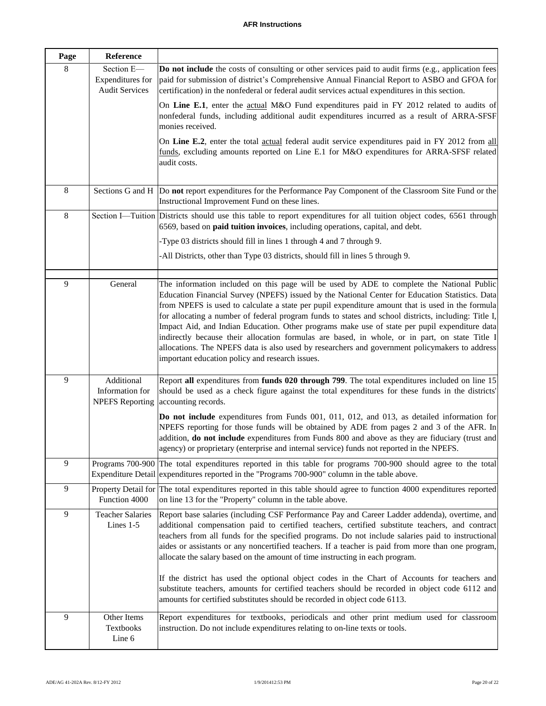| Page    | Reference                                               |                                                                                                                                                                                                                                                                                                                                                                                                                                                                                                                                                                                                                                                                                                                                                                            |
|---------|---------------------------------------------------------|----------------------------------------------------------------------------------------------------------------------------------------------------------------------------------------------------------------------------------------------------------------------------------------------------------------------------------------------------------------------------------------------------------------------------------------------------------------------------------------------------------------------------------------------------------------------------------------------------------------------------------------------------------------------------------------------------------------------------------------------------------------------------|
| 8       | Section E-<br>Expenditures for<br><b>Audit Services</b> | <b>Do not include</b> the costs of consulting or other services paid to audit firms (e.g., application fees<br>paid for submission of district's Comprehensive Annual Financial Report to ASBO and GFOA for<br>certification) in the nonfederal or federal audit services actual expenditures in this section.                                                                                                                                                                                                                                                                                                                                                                                                                                                             |
|         |                                                         | On Line E.1, enter the actual M&O Fund expenditures paid in FY 2012 related to audits of<br>nonfederal funds, including additional audit expenditures incurred as a result of ARRA-SFSF<br>monies received.                                                                                                                                                                                                                                                                                                                                                                                                                                                                                                                                                                |
|         |                                                         | On Line E.2, enter the total actual federal audit service expenditures paid in FY 2012 from all<br>funds, excluding amounts reported on Line E.1 for M&O expenditures for ARRA-SFSF related<br>audit costs.                                                                                                                                                                                                                                                                                                                                                                                                                                                                                                                                                                |
| 8       |                                                         | Sections G and H  Do not report expenditures for the Performance Pay Component of the Classroom Site Fund or the<br>Instructional Improvement Fund on these lines.                                                                                                                                                                                                                                                                                                                                                                                                                                                                                                                                                                                                         |
| $\,8\,$ |                                                         | Section I—Tuition Districts should use this table to report expenditures for all tuition object codes, 6561 through<br>6569, based on paid tuition invoices, including operations, capital, and debt.                                                                                                                                                                                                                                                                                                                                                                                                                                                                                                                                                                      |
|         |                                                         | -Type 03 districts should fill in lines 1 through 4 and 7 through 9.                                                                                                                                                                                                                                                                                                                                                                                                                                                                                                                                                                                                                                                                                                       |
|         |                                                         | -All Districts, other than Type 03 districts, should fill in lines 5 through 9.                                                                                                                                                                                                                                                                                                                                                                                                                                                                                                                                                                                                                                                                                            |
| 9       | General                                                 | The information included on this page will be used by ADE to complete the National Public<br>Education Financial Survey (NPEFS) issued by the National Center for Education Statistics. Data<br>from NPEFS is used to calculate a state per pupil expenditure amount that is used in the formula<br>for allocating a number of federal program funds to states and school districts, including: Title I,<br>Impact Aid, and Indian Education. Other programs make use of state per pupil expenditure data<br>indirectly because their allocation formulas are based, in whole, or in part, on state Title I<br>allocations. The NPEFS data is also used by researchers and government policymakers to address<br>important education policy and research issues.           |
| 9       | Additional<br>Information for<br><b>NPEFS</b> Reporting | Report all expenditures from funds 020 through 799. The total expenditures included on line 15<br>should be used as a check figure against the total expenditures for these funds in the districts'<br>accounting records.<br>Do not include expenditures from Funds 001, 011, 012, and 013, as detailed information for                                                                                                                                                                                                                                                                                                                                                                                                                                                   |
|         |                                                         | NPEFS reporting for those funds will be obtained by ADE from pages 2 and 3 of the AFR. In<br>addition, do not include expenditures from Funds 800 and above as they are fiduciary (trust and<br>agency) or proprietary (enterprise and internal service) funds not reported in the NPEFS                                                                                                                                                                                                                                                                                                                                                                                                                                                                                   |
| 9       |                                                         | Programs 700-900 The total expenditures reported in this table for programs 700-900 should agree to the total<br>Expenditure Detail expenditures reported in the "Programs 700-900" column in the table above.                                                                                                                                                                                                                                                                                                                                                                                                                                                                                                                                                             |
| 9       | Function 4000                                           | Property Detail for The total expenditures reported in this table should agree to function 4000 expenditures reported<br>on line 13 for the "Property" column in the table above.                                                                                                                                                                                                                                                                                                                                                                                                                                                                                                                                                                                          |
| 9       | <b>Teacher Salaries</b><br>Lines $1-5$                  | Report base salaries (including CSF Performance Pay and Career Ladder addenda), overtime, and<br>additional compensation paid to certified teachers, certified substitute teachers, and contract<br>teachers from all funds for the specified programs. Do not include salaries paid to instructional<br>aides or assistants or any noncertified teachers. If a teacher is paid from more than one program,<br>allocate the salary based on the amount of time instructing in each program.<br>If the district has used the optional object codes in the Chart of Accounts for teachers and<br>substitute teachers, amounts for certified teachers should be recorded in object code 6112 and<br>amounts for certified substitutes should be recorded in object code 6113. |
| 9       | Other Items<br>Textbooks<br>Line 6                      | Report expenditures for textbooks, periodicals and other print medium used for classroom<br>instruction. Do not include expenditures relating to on-line texts or tools.                                                                                                                                                                                                                                                                                                                                                                                                                                                                                                                                                                                                   |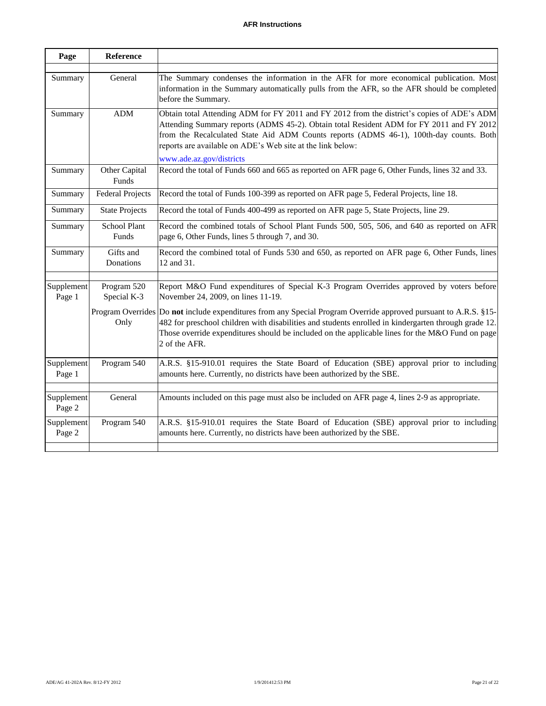| Reference                                |                                                                                                                                                                                                                                                                                                                                                                            |
|------------------------------------------|----------------------------------------------------------------------------------------------------------------------------------------------------------------------------------------------------------------------------------------------------------------------------------------------------------------------------------------------------------------------------|
| General                                  | The Summary condenses the information in the AFR for more economical publication. Most<br>information in the Summary automatically pulls from the AFR, so the AFR should be completed<br>before the Summary.                                                                                                                                                               |
| <b>ADM</b>                               | Obtain total Attending ADM for FY 2011 and FY 2012 from the district's copies of ADE's ADM<br>Attending Summary reports (ADMS 45-2). Obtain total Resident ADM for FY 2011 and FY 2012<br>from the Recalculated State Aid ADM Counts reports (ADMS 46-1), 100th-day counts. Both<br>reports are available on ADE's Web site at the link below:<br>www.ade.az.gov/districts |
| Other Capital<br>Funds                   | Record the total of Funds 660 and 665 as reported on AFR page 6, Other Funds, lines 32 and 33.                                                                                                                                                                                                                                                                             |
| <b>Federal Projects</b>                  | Record the total of Funds 100-399 as reported on AFR page 5, Federal Projects, line 18.                                                                                                                                                                                                                                                                                    |
| <b>State Projects</b>                    | Record the total of Funds 400-499 as reported on AFR page 5, State Projects, line 29.                                                                                                                                                                                                                                                                                      |
| <b>School Plant</b><br>Funds             | Record the combined totals of School Plant Funds 500, 505, 506, and 640 as reported on AFR<br>page 6, Other Funds, lines 5 through 7, and 30.                                                                                                                                                                                                                              |
| Gifts and<br>Donations                   | Record the combined total of Funds 530 and 650, as reported on AFR page 6, Other Funds, lines<br>12 and 31.                                                                                                                                                                                                                                                                |
| Program 520<br>Supplement<br>Special K-3 | Report M&O Fund expenditures of Special K-3 Program Overrides approved by voters before<br>November 24, 2009, on lines 11-19.                                                                                                                                                                                                                                              |
| Only                                     | Program Overrides Do not include expenditures from any Special Program Override approved pursuant to A.R.S. §15-<br>482 for preschool children with disabilities and students enrolled in kindergarten through grade 12.<br>Those override expenditures should be included on the applicable lines for the M&O Fund on page<br>2 of the AFR.                               |
| Program 540<br>Supplement                | A.R.S. §15-910.01 requires the State Board of Education (SBE) approval prior to including<br>amounts here. Currently, no districts have been authorized by the SBE.                                                                                                                                                                                                        |
| General<br>Supplement                    | Amounts included on this page must also be included on AFR page 4, lines 2-9 as appropriate.                                                                                                                                                                                                                                                                               |
| Supplement<br>Program 540                | A.R.S. §15-910.01 requires the State Board of Education (SBE) approval prior to including<br>amounts here. Currently, no districts have been authorized by the SBE.                                                                                                                                                                                                        |
|                                          |                                                                                                                                                                                                                                                                                                                                                                            |